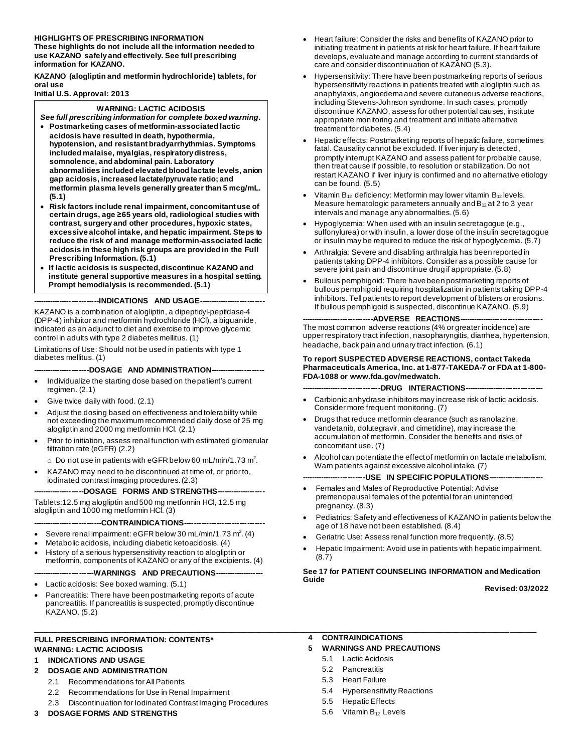#### **HIGHLIGHTS OF PRESCRIBING INFORMATION**

**These highlights do not include all the information needed to use KAZANO safely and effectively. See full prescribing information for KAZANO.**

**KAZANO (alogliptin and metformin hydrochloride) tablets, for oral use**

**Initial U.S. Approval: 2013**

#### **WARNING: LACTIC ACIDOSIS**

*See full prescribing information for complete boxed warning.* • **Postmarketing cases of metformin-associated lactic** 

- **acidosis have resulted in death, hypothermia, hypotension, and resistant bradyarrhythmias. Symptoms included malaise, myalgias, respiratory distress, somnolence, and abdominal pain. Laboratory abnormalities included elevated blood lactate levels, anion gap acidosis, increased lactate/pyruvate ratio; and metformin plasma levels generally greater than 5 mcg/mL. (5.1)**
- **Risk factors include renal impairment, concomitant use of certain drugs, age ≥65 years old, radiological studies with contrast, surgery and other procedures, hypoxic states, excessive alcohol intake, and hepatic impairment. Steps to reduce the risk of and manage metformin-associated lactic acidosis in these high risk groups are provided in the Full Prescribing Information. (5.1)**
- **If lactic acidosis is suspected, discontinue KAZANO and institute general supportive measures in a hospital setting. Prompt hemodialysis is recommended. (5.1)**

--------INDICATIONS AND USAGE-

KAZANO is a combination of alogliptin, a dipeptidyl-peptidase-4 (DPP-4) inhibitor and metformin hydrochloride (HCl), a biguanide, indicated as an adjunct to diet and exercise to improve glycemic control in adults with type 2 diabetes mellitus. (1)

Limitations of Use: Should not be used in patients with type 1 diabetes mellitus. (1)

#### ----DOSAGE AND ADMINISTRATION------

- Individualize the starting dose based on the patient's current regimen. (2.1)
- Give twice daily with food. (2.1)
- Adjust the dosing based on effectiveness and tolerability while not exceeding the maximum recommended daily dose of 25 mg alogliptin and 2000 mg metformin HCl. (2.1)
- Prior to initiation, assess renal function with estimated glomerular filtration rate (eGFR) (2.2)
	- $\circ$  Do not use in patients with eGFR below 60 mL/min/1.73 m<sup>2</sup>.
- KAZANO may need to be discontinued at time of, or prior to, iodinated contrast imaging procedures. (2.3)

--DOSAGE FORMS AND STRENGTHS-

Tablets:12.5 mg alogliptin and 500 mg metformin HCl, 12.5 mg alogliptin and 1000 mg metformin HCl. (3)

**----------------------------CONTRAINDICATIONS--------------------------------**

- Severe renal impairment: eGFR below 30 mL/min/1.73 m<sup>2</sup>. (4)
- Metabolic acidosis, including diabetic ketoacidosis. (4)
- History of a serious hypersensitivity reaction to alogliptin or metformin, components of KAZANO or any of the excipients. (4)

#### -----WARNINGS AND PRECAUTIONS---

- Lactic acidosis: See boxed warning. (5.1)
- Pancreatitis: There have been postmarketing reports of acute pancreatitis. If pancreatitis is suspected, promptly discontinue KAZANO. (5.2)

#### **FULL PRESCRIBING INFORMATION: CONTENTS\* WARNING: LACTIC ACIDOSIS**

#### **1 INDICATIONS AND USAGE**

- **2 DOSAGE AND ADMINISTRATION**
	- 2.1 Recommendations for All Patients
	- 2.2 Recommendations for Use in Renal Impairment
	- 2.3 Discontinuation for Iodinated Contrast Imaging Procedures
- **3 DOSAGE FORMS AND STRENGTHS**
- Heart failure: Consider the risks and benefits of KAZANO prior to initiating treatment in patients at risk for heart failure. If heart failure develops, evaluate and manage according to current standards of care and consider discontinuation of KAZANO (5.3).
- Hypersensitivity: There have been postmarketing reports of serious hypersensitivity reactions in patients treated with alogliptin such as anaphylaxis, angioedema and severe cutaneous adverse reactions, including Stevens-Johnson syndrome. In such cases, promptly discontinue KAZANO, assess for other potential causes, institute appropriate monitoring and treatment and initiate alternative treatment for diabetes. (5.4)
- Hepatic effects: Postmarketing reports of hepatic failure, sometimes fatal. Causality cannot be excluded. If liver injury is detected, promptly interrupt KAZANO and assess patient for probable cause, then treat cause if possible, to resolution or stabilization. Do not restart KAZANO if liver injury is confirmed and no alternative etiology can be found. (5.5)
- Vitamin  $B_{12}$  deficiency: Metformin may lower vitamin  $B_{12}$  levels. Measure hematologic parameters annually and  $B_{12}$  at 2 to 3 year intervals and manage any abnormalties.(5.6)
- Hypoglycemia: When used with an insulin secretagogue (e.g., sulfonylurea) or with insulin, a lower dose of the insulin secretagogue or insulin may be required to reduce the risk of hypoglycemia. (5.7)
- Arthralgia: Severe and disabling arthralgia has been reported in patients taking DPP-4 inhibitors. Consider as a possible cause for severe joint pain and discontinue drug if appropriate. (5.8)
- Bullous pemphigoid: There have been postmarketing reports of bullous pemphigoid requiring hospitalization in patients taking DPP-4 inhibitors. Tell patients to report development of blisters or erosions. If bullous pemphigoid is suspected, discontinue KAZANO. (5.9)

--ADVERSE REACTIONS-

The most common adverse reactions (4% or greater incidence) are upper respiratory tract infection, nasopharyngitis, diarrhea, hypertension, headache, back pain and urinary tract infection. (6.1)

#### **To report SUSPECTED ADVERSE REACTIONS, contact Takeda Pharmaceuticals America, Inc. at 1-877-TAKEDA-7 or FDA at 1-800- FDA-1088 or www.fda.gov/medwatch.**

**--------------------------------DRUG INTERACTIONS--------------------------------**

- Carbionic anhydrase inhibitors may increase risk of lactic acidosis. Consider more frequent monitoring. (7)
- Drugs that reduce metformin clearance (such as ranolazine, vandetanib, dolutegravir, and cimetidine), may increase the accumulation of metformin. Consider the benefits and risks of concomitant use. (7)
- Alcohol can potentiate the effect of metformin on lactate metabolism. Warn patients against excessive alcohol intake. (7)

#### **--------------------------USE IN SPECIFIC POPULATIONS-----------------------**

- Females and Males of Reproductive Potential: Advise premenopausal females of the potential for an unintended pregnancy. (8.3)
- Pediatrics: Safety and effectiveness of KAZANO in patients below the age of 18 have not been established. (8.4)
- Geriatric Use: Assess renal function more frequently. (8.5)
- Hepatic Impairment: Avoid use in patients with hepatic impairment. (8.7)

#### **See 17 for PATIENT COUNSELING INFORMATION and Medication Guide**

**Revised: 03/2022**

- **\_\_\_\_\_\_\_\_\_\_\_\_\_\_\_\_\_\_\_\_\_\_\_\_\_\_\_\_\_\_\_\_\_\_\_\_\_\_\_\_\_\_\_\_\_\_\_\_\_\_\_\_\_\_\_\_\_\_\_\_\_\_\_\_\_\_\_\_\_\_\_\_\_\_\_\_\_\_\_\_\_\_\_\_\_\_\_\_\_\_\_\_\_\_\_\_\_\_\_\_\_\_\_\_\_\_\_\_\_\_\_\_\_\_\_\_\_\_\_\_\_\_\_\_\_\_\_\_\_\_\_\_ 4 CONTRAINDICATIONS**
	- **5 WARNINGS AND PRECAUTIONS**
		- 5.1 Lactic Acidosis
		- 5.2 Pancreatitis
		- 5.3 Heart Failure
		- 5.4 Hypersensitivity Reactions
		- 5.5 Hepatic Effects
		- 5.6 Vitamin B<sup>12</sup> Levels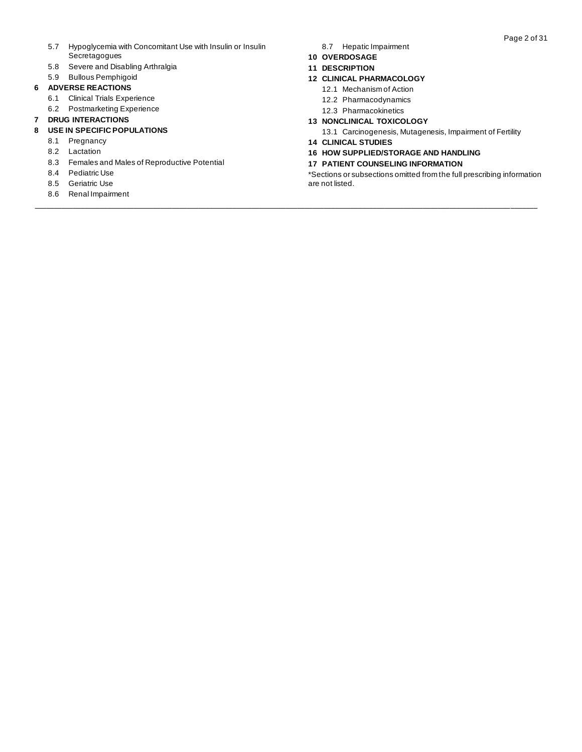- 5.7 Hypoglycemia with Concomitant Use with Insulin or Insulin Secretagogues
- 5.8 Severe and Disabling Arthralgia
- 5.9 Bullous Pemphigoid

#### **6 ADVERSE REACTIONS**

- 6.1 Clinical Trials Experience
- 6.2 Postmarketing Experience

#### **7 DRUG INTERACTIONS**

#### **8 USE IN SPECIFIC POPULATIONS**

- 8.1 Pregnancy
- 8.2 Lactation
- 8.3 Females and Males of Reproductive Potential
- 8.4 Pediatric Use
- 8.5 Geriatric Use
- 8.6 Renal Impairment

8.7 Hepatic Impairment

#### **10 OVERDOSAGE**

**11 DESCRIPTION**

#### **12 CLINICAL PHARMACOLOGY**

- 12.1 Mechanism of Action
- 12.2 Pharmacodynamics
- 12.3 Pharmacokinetics
- **13 NONCLINICAL TOXICOLOGY**

13.1 Carcinogenesis, Mutagenesis, Impairment of Fertility

**14 CLINICAL STUDIES**

**\_\_\_\_\_\_\_\_\_\_\_\_\_\_\_\_\_\_\_\_\_\_\_\_\_\_\_\_\_\_\_\_\_\_\_\_\_\_\_\_\_\_\_\_\_\_\_\_\_\_\_\_\_\_\_\_\_\_\_\_\_\_\_\_\_\_\_\_\_\_\_\_\_\_\_\_\_\_\_\_\_\_\_\_\_\_\_\_\_\_\_\_\_\_\_\_\_\_\_\_\_\_\_\_\_\_\_\_\_\_\_\_\_\_\_\_\_\_\_\_\_\_\_\_\_\_\_\_\_\_\_\_** 

- **16 HOW SUPPLIED/STORAGE AND HANDLING**
- **17 PATIENT COUNSELING INFORMATION**

\*Sections or subsections omitted from the full prescribing information are not listed.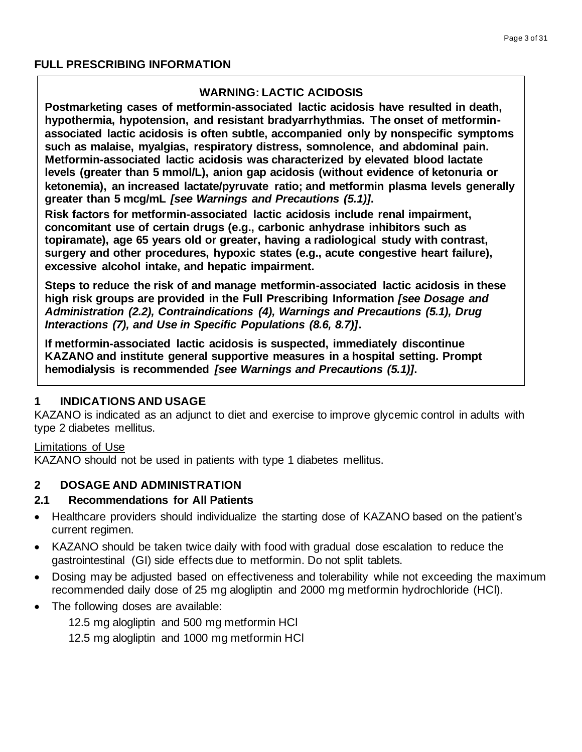# **WARNING: LACTIC ACIDOSIS**

**Postmarketing cases of metformin-associated lactic acidosis have resulted in death, hypothermia, hypotension, and resistant bradyarrhythmias. The onset of metforminassociated lactic acidosis is often subtle, accompanied only by nonspecific symptoms such as malaise, myalgias, respiratory distress, somnolence, and abdominal pain. Metformin-associated lactic acidosis was characterized by elevated blood lactate levels (greater than 5 mmol/L), anion gap acidosis (without evidence of ketonuria or ketonemia), an increased lactate/pyruvate ratio; and metformin plasma levels generally greater than 5 mcg/mL** *[see Warnings and Precautions (5.1)]***.**

**Risk factors for metformin-associated lactic acidosis include renal impairment, concomitant use of certain drugs (e.g., carbonic anhydrase inhibitors such as topiramate), age 65 years old or greater, having a radiological study with contrast, surgery and other procedures, hypoxic states (e.g., acute congestive heart failure), excessive alcohol intake, and hepatic impairment.**

**Steps to reduce the risk of and manage metformin-associated lactic acidosis in these high risk groups are provided in the Full Prescribing Information** *[see Dosage and Administration (2.2), Contraindications (4), Warnings and Precautions (5.1), Drug Interactions (7), and Use in Specific Populations (8.6, 8.7)]***.**

**If metformin-associated lactic acidosis is suspected, immediately discontinue KAZANO and institute general supportive measures in a hospital setting. Prompt hemodialysis is recommended** *[see Warnings and Precautions (5.1)]***.** 

# **1 INDICATIONS AND USAGE**

KAZANO is indicated as an adjunct to diet and exercise to improve glycemic control in adults with type 2 diabetes mellitus.

# Limitations of Use

KAZANO should not be used in patients with type 1 diabetes mellitus.

# **2 DOSAGE AND ADMINISTRATION**

# **2.1 Recommendations for All Patients**

- Healthcare providers should individualize the starting dose of KAZANO based on the patient's current regimen.
- KAZANO should be taken twice daily with food with gradual dose escalation to reduce the gastrointestinal (GI) side effects due to metformin. Do not split tablets.
- Dosing may be adjusted based on effectiveness and tolerability while not exceeding the maximum recommended daily dose of 25 mg alogliptin and 2000 mg metformin hydrochloride (HCl).
- The following doses are available:

12.5 mg alogliptin and 500 mg metformin HCl

12.5 mg alogliptin and 1000 mg metformin HCl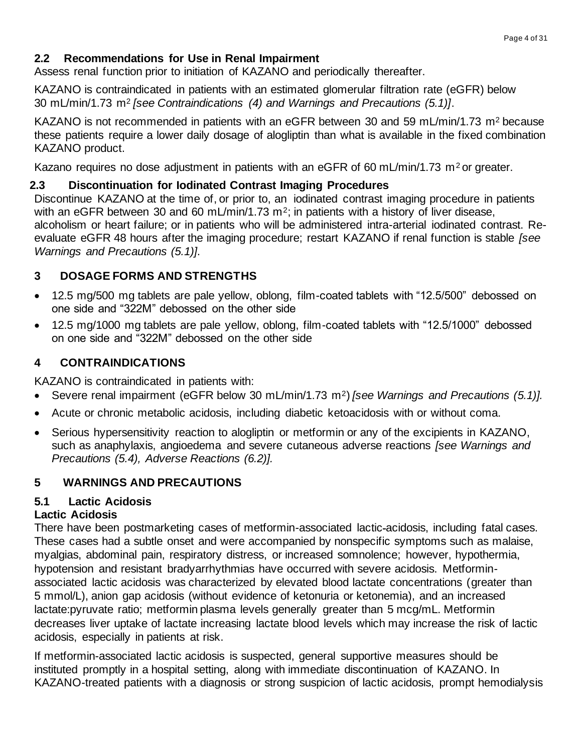# **2.2 Recommendations for Use in Renal Impairment**

Assess renal function prior to initiation of KAZANO and periodically thereafter.

KAZANO is contraindicated in patients with an estimated glomerular filtration rate (eGFR) below 30 mL/min/1.73 m<sup>2</sup> *[see Contraindications (4) and Warnings and Precautions (5.1)]*.

KAZANO is not recommended in patients with an eGFR between 30 and 59 mL/min/1.73 m<sup>2</sup> because these patients require a lower daily dosage of alogliptin than what is available in the fixed combination KAZANO product.

Kazano requires no dose adjustment in patients with an eGFR of 60 mL/min/1.73 m<sup>2</sup> or greater.

# **2.3 Discontinuation for Iodinated Contrast Imaging Procedures**

Discontinue KAZANO at the time of, or prior to, an iodinated contrast imaging procedure in patients with an eGFR between 30 and 60 mL/min/1.73 m<sup>2</sup>; in patients with a history of liver disease, alcoholism or heart failure; or in patients who will be administered intra-arterial iodinated contrast. Reevaluate eGFR 48 hours after the imaging procedure; restart KAZANO if renal function is stable *[see Warnings and Precautions (5.1)]*.

# **3 DOSAGE FORMS AND STRENGTHS**

- 12.5 mg/500 mg tablets are pale yellow, oblong, film-coated tablets with "12.5/500" debossed on one side and "322M" debossed on the other side
- 12.5 mg/1000 mg tablets are pale yellow, oblong, film-coated tablets with "12.5/1000" debossed on one side and "322M" debossed on the other side

# **4 CONTRAINDICATIONS**

KAZANO is contraindicated in patients with:

- Severe renal impairment (eGFR below 30 mL/min/1.73 m2) *[see Warnings and Precautions (5.1)].*
- Acute or chronic metabolic acidosis, including diabetic ketoacidosis with or without coma.
- Serious hypersensitivity reaction to alogliptin or metformin or any of the excipients in KAZANO, such as anaphylaxis, angioedema and severe cutaneous adverse reactions *[see Warnings and Precautions (5.4), Adverse Reactions (6.2)].*

# **5 WARNINGS AND PRECAUTIONS**

# **5.1 Lactic Acidosis**

# **Lactic Acidosis**

There have been postmarketing cases of metformin-associated lactic acidosis, including fatal cases. These cases had a subtle onset and were accompanied by nonspecific symptoms such as malaise, myalgias, abdominal pain, respiratory distress, or increased somnolence; however, hypothermia, hypotension and resistant bradyarrhythmias have occurred with severe acidosis. Metforminassociated lactic acidosis was characterized by elevated blood lactate concentrations (greater than 5 mmol/L), anion gap acidosis (without evidence of ketonuria or ketonemia), and an increased lactate:pyruvate ratio; metformin plasma levels generally greater than 5 mcg/mL. Metformin decreases liver uptake of lactate increasing lactate blood levels which may increase the risk of lactic acidosis, especially in patients at risk.

If metformin-associated lactic acidosis is suspected, general supportive measures should be instituted promptly in a hospital setting, along with immediate discontinuation of KAZANO. In KAZANO-treated patients with a diagnosis or strong suspicion of lactic acidosis, prompt hemodialysis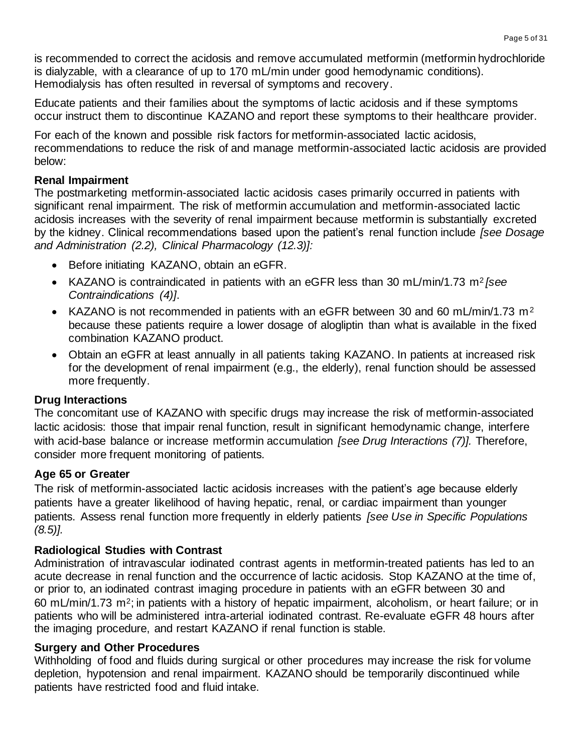is recommended to correct the acidosis and remove accumulated metformin (metformin hydrochloride is dialyzable, with a clearance of up to 170 mL/min under good hemodynamic conditions). Hemodialysis has often resulted in reversal of symptoms and recovery.

Educate patients and their families about the symptoms of lactic acidosis and if these symptoms occur instruct them to discontinue KAZANO and report these symptoms to their healthcare provider.

For each of the known and possible risk factors for metformin-associated lactic acidosis, recommendations to reduce the risk of and manage metformin-associated lactic acidosis are provided below:

#### **Renal Impairment**

The postmarketing metformin-associated lactic acidosis cases primarily occurred in patients with significant renal impairment. The risk of metformin accumulation and metformin-associated lactic acidosis increases with the severity of renal impairment because metformin is substantially excreted by the kidney. Clinical recommendations based upon the patient's renal function include *[see Dosage and Administration (2.2), Clinical Pharmacology (12.3)]:*

- Before initiating KAZANO, obtain an eGFR.
- KAZANO is contraindicated in patients with an eGFR less than 30 mL/min/1.73 m<sup>2</sup> *[see Contraindications (4)]*.
- KAZANO is not recommended in patients with an eGFR between 30 and 60 mL/min/1.73 m<sup>2</sup> because these patients require a lower dosage of alogliptin than what is available in the fixed combination KAZANO product.
- Obtain an eGFR at least annually in all patients taking KAZANO. In patients at increased risk for the development of renal impairment (e.g., the elderly), renal function should be assessed more frequently.

## **Drug Interactions**

The concomitant use of KAZANO with specific drugs may increase the risk of metformin-associated lactic acidosis: those that impair renal function, result in significant hemodynamic change, interfere with acid-base balance or increase metformin accumulation *[see Drug Interactions (7)].* Therefore, consider more frequent monitoring of patients.

## **Age 65 or Greater**

The risk of metformin-associated lactic acidosis increases with the patient's age because elderly patients have a greater likelihood of having hepatic, renal, or cardiac impairment than younger patients. Assess renal function more frequently in elderly patients *[see Use in Specific Populations (8.5)].*

## **Radiological Studies with Contrast**

Administration of intravascular iodinated contrast agents in metformin-treated patients has led to an acute decrease in renal function and the occurrence of lactic acidosis. Stop KAZANO at the time of, or prior to, an iodinated contrast imaging procedure in patients with an eGFR between 30 and 60 mL/min/1.73 m2; in patients with a history of hepatic impairment, alcoholism, or heart failure; or in patients who will be administered intra-arterial iodinated contrast. Re-evaluate eGFR 48 hours after the imaging procedure, and restart KAZANO if renal function is stable.

## **Surgery and Other Procedures**

Withholding of food and fluids during surgical or other procedures may increase the risk for volume depletion, hypotension and renal impairment. KAZANO should be temporarily discontinued while patients have restricted food and fluid intake.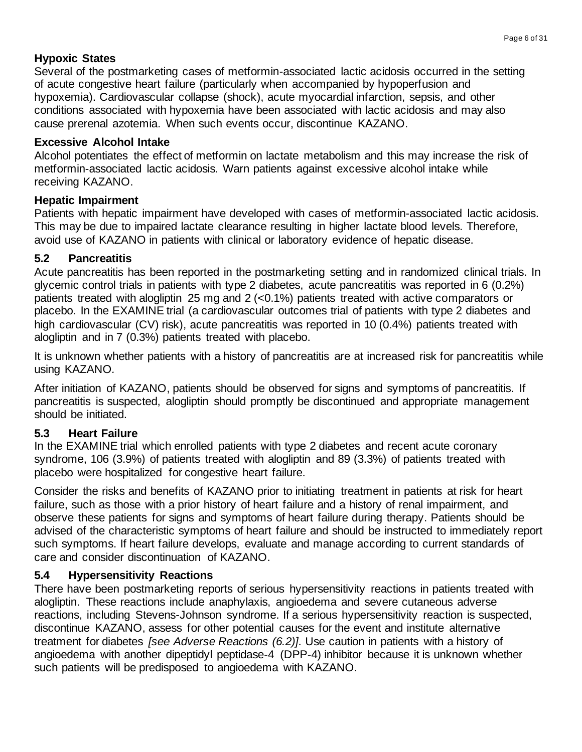# **Hypoxic States**

Several of the postmarketing cases of metformin-associated lactic acidosis occurred in the setting of acute congestive heart failure (particularly when accompanied by hypoperfusion and hypoxemia). Cardiovascular collapse (shock), acute myocardial infarction, sepsis, and other conditions associated with hypoxemia have been associated with lactic acidosis and may also cause prerenal azotemia. When such events occur, discontinue KAZANO.

# **Excessive Alcohol Intake**

Alcohol potentiates the effect of metformin on lactate metabolism and this may increase the risk of metformin-associated lactic acidosis. Warn patients against excessive alcohol intake while receiving KAZANO.

# **Hepatic Impairment**

Patients with hepatic impairment have developed with cases of metformin-associated lactic acidosis. This may be due to impaired lactate clearance resulting in higher lactate blood levels. Therefore, avoid use of KAZANO in patients with clinical or laboratory evidence of hepatic disease.

# **5.2 Pancreatitis**

Acute pancreatitis has been reported in the postmarketing setting and in randomized clinical trials. In glycemic control trials in patients with type 2 diabetes, acute pancreatitis was reported in 6 (0.2%) patients treated with alogliptin 25 mg and 2 (<0.1%) patients treated with active comparators or placebo. In the EXAMINE trial (a cardiovascular outcomes trial of patients with type 2 diabetes and high cardiovascular (CV) risk), acute pancreatitis was reported in 10 (0.4%) patients treated with alogliptin and in 7 (0.3%) patients treated with placebo.

It is unknown whether patients with a history of pancreatitis are at increased risk for pancreatitis while using KAZANO*.*

After initiation of KAZANO, patients should be observed for signs and symptoms of pancreatitis. If pancreatitis is suspected, alogliptin should promptly be discontinued and appropriate management should be initiated.

# **5.3 Heart Failure**

In the EXAMINE trial which enrolled patients with type 2 diabetes and recent acute coronary syndrome, 106 (3.9%) of patients treated with alogliptin and 89 (3.3%) of patients treated with placebo were hospitalized for congestive heart failure.

Consider the risks and benefits of KAZANO prior to initiating treatment in patients at risk for heart failure, such as those with a prior history of heart failure and a history of renal impairment, and observe these patients for signs and symptoms of heart failure during therapy. Patients should be advised of the characteristic symptoms of heart failure and should be instructed to immediately report such symptoms. If heart failure develops, evaluate and manage according to current standards of care and consider discontinuation of KAZANO.

# **5.4 Hypersensitivity Reactions**

There have been postmarketing reports of serious hypersensitivity reactions in patients treated with alogliptin. These reactions include anaphylaxis, angioedema and severe cutaneous adverse reactions, including Stevens-Johnson syndrome. If a serious hypersensitivity reaction is suspected, discontinue KAZANO, assess for other potential causes for the event and institute alternative treatment for diabetes *[see Adverse Reactions (6.2)]*. Use caution in patients with a history of angioedema with another dipeptidyl peptidase-4 (DPP-4) inhibitor because it is unknown whether such patients will be predisposed to angioedema with KAZANO.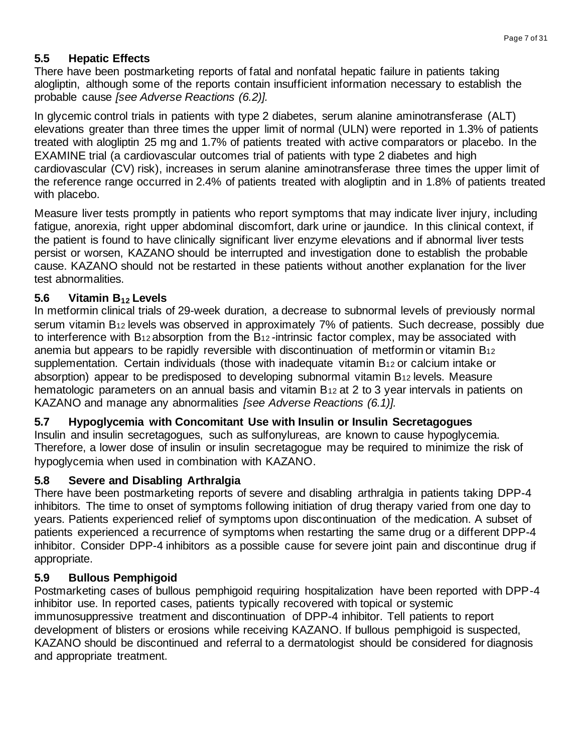# **5.5 Hepatic Effects**

There have been postmarketing reports of fatal and nonfatal hepatic failure in patients taking alogliptin, although some of the reports contain insufficient information necessary to establish the probable cause *[see Adverse Reactions (6.2)].*

In glycemic control trials in patients with type 2 diabetes, serum alanine aminotransferase (ALT) elevations greater than three times the upper limit of normal (ULN) were reported in 1.3% of patients treated with alogliptin 25 mg and 1.7% of patients treated with active comparators or placebo. In the EXAMINE trial (a cardiovascular outcomes trial of patients with type 2 diabetes and high cardiovascular (CV) risk), increases in serum alanine aminotransferase three times the upper limit of the reference range occurred in 2.4% of patients treated with alogliptin and in 1.8% of patients treated with placebo.

Measure liver tests promptly in patients who report symptoms that may indicate liver injury, including fatigue, anorexia, right upper abdominal discomfort, dark urine or jaundice. In this clinical context, if the patient is found to have clinically significant liver enzyme elevations and if abnormal liver tests persist or worsen, KAZANO should be interrupted and investigation done to establish the probable cause. KAZANO should not be restarted in these patients without another explanation for the liver test abnormalities.

# **5.6 Vitamin B<sup>12</sup> Levels**

In metformin clinical trials of 29-week duration, a decrease to subnormal levels of previously normal serum vitamin B<sup>12</sup> levels was observed in approximately 7% of patients. Such decrease, possibly due to interference with B<sub>12</sub> absorption from the B<sub>12</sub>-intrinsic factor complex, may be associated with anemia but appears to be rapidly reversible with discontinuation of metformin or vitamin B<sup>12</sup> supplementation. Certain individuals (those with inadequate vitamin B<sup>12</sup> or calcium intake or absorption) appear to be predisposed to developing subnormal vitamin B<sup>12</sup> levels. Measure hematologic parameters on an annual basis and vitamin B<sub>12</sub> at 2 to 3 year intervals in patients on KAZANO and manage any abnormalities *[see Adverse Reactions (6.1)].*

## **5.7 Hypoglycemia with Concomitant Use with Insulin or Insulin Secretagogues**

Insulin and insulin secretagogues, such as sulfonylureas, are known to cause hypoglycemia. Therefore, a lower dose of insulin or insulin secretagogue may be required to minimize the risk of hypoglycemia when used in combination with KAZANO.

## **5.8 Severe and Disabling Arthralgia**

There have been postmarketing reports of severe and disabling arthralgia in patients taking DPP-4 inhibitors. The time to onset of symptoms following initiation of drug therapy varied from one day to years. Patients experienced relief of symptoms upon discontinuation of the medication. A subset of patients experienced a recurrence of symptoms when restarting the same drug or a different DPP-4 inhibitor. Consider DPP-4 inhibitors as a possible cause for severe joint pain and discontinue drug if appropriate.

# **5.9 Bullous Pemphigoid**

Postmarketing cases of bullous pemphigoid requiring hospitalization have been reported with DPP-4 inhibitor use. In reported cases, patients typically recovered with topical or systemic immunosuppressive treatment and discontinuation of DPP-4 inhibitor. Tell patients to report development of blisters or erosions while receiving KAZANO. If bullous pemphigoid is suspected, KAZANO should be discontinued and referral to a dermatologist should be considered for diagnosis and appropriate treatment.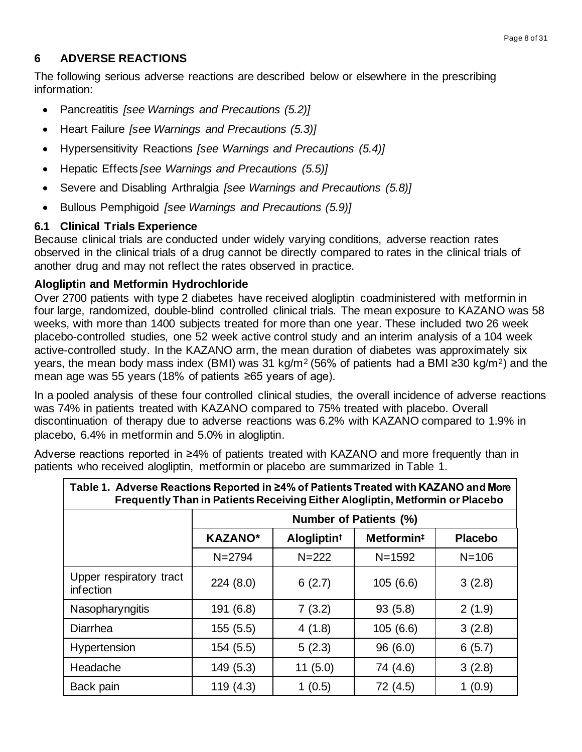# **6 ADVERSE REACTIONS**

The following serious adverse reactions are described below or elsewhere in the prescribing information:

- Pancreatitis *[see Warnings and Precautions (5.2)]*
- Heart Failure *[see Warnings and Precautions (5.3)]*
- Hypersensitivity Reactions *[see Warnings and Precautions (5.4)]*
- Hepatic Effects *[see Warnings and Precautions (5.5)]*
- Severe and Disabling Arthralgia *[see Warnings and Precautions (5.8)]*
- Bullous Pemphigoid *[see Warnings and Precautions (5.9)]*

## **6.1 Clinical Trials Experience**

Because clinical trials are conducted under widely varying conditions, adverse reaction rates observed in the clinical trials of a drug cannot be directly compared to rates in the clinical trials of another drug and may not reflect the rates observed in practice.

## **Alogliptin and Metformin Hydrochloride**

Over 2700 patients with type 2 diabetes have received alogliptin coadministered with metformin in four large, randomized, double-blind controlled clinical trials. The mean exposure to KAZANO was 58 weeks, with more than 1400 subjects treated for more than one year. These included two 26 week placebo-controlled studies, one 52 week active control study and an interim analysis of a 104 week active-controlled study. In the KAZANO arm, the mean duration of diabetes was approximately six years, the mean body mass index (BMI) was 31 kg/m<sup>2</sup> (56% of patients had a BMI ≥30 kg/m<sup>2</sup>) and the mean age was 55 years (18% of patients ≥65 years of age).

In a pooled analysis of these four controlled clinical studies, the overall incidence of adverse reactions was 74% in patients treated with KAZANO compared to 75% treated with placebo. Overall discontinuation of therapy due to adverse reactions was 6.2% with KAZANO compared to 1.9% in placebo, 6.4% in metformin and 5.0% in alogliptin.

Adverse reactions reported in ≥4% of patients treated with KAZANO and more frequently than in patients who received alogliptin, metformin or placebo are summarized in Table 1.

| Table 1. Adverse Reactions Reported in ≥4% of Patients Treated with KAZANO and More<br>Frequently Than in Patients Receiving Either Alogliptin, Metformin or Placebo |                                                                                       |         |          |        |  |  |  |  |
|----------------------------------------------------------------------------------------------------------------------------------------------------------------------|---------------------------------------------------------------------------------------|---------|----------|--------|--|--|--|--|
|                                                                                                                                                                      | <b>Number of Patients (%)</b>                                                         |         |          |        |  |  |  |  |
|                                                                                                                                                                      | <b>KAZANO*</b><br>Alogliptin <sup>t</sup><br>Metformin <sup>#</sup><br><b>Placebo</b> |         |          |        |  |  |  |  |
| $N = 2794$<br>$N = 222$<br>$N = 1592$<br>$N = 106$                                                                                                                   |                                                                                       |         |          |        |  |  |  |  |
| Upper respiratory tract<br>infection                                                                                                                                 | 224(8.0)                                                                              | 6(2.7)  | 105(6.6) | 3(2.8) |  |  |  |  |
| Nasopharyngitis                                                                                                                                                      | 191 (6.8)                                                                             | 7(3.2)  | 93(5.8)  | 2(1.9) |  |  |  |  |
| <b>Diarrhea</b>                                                                                                                                                      | 155(5.5)                                                                              | 4(1.8)  | 105(6.6) | 3(2.8) |  |  |  |  |
| Hypertension                                                                                                                                                         | 154 (5.5)                                                                             | 5(2.3)  | 96(6.0)  | 6(5.7) |  |  |  |  |
| Headache                                                                                                                                                             | 149 (5.3)                                                                             | 11(5.0) | 74 (4.6) | 3(2.8) |  |  |  |  |
| Back pain                                                                                                                                                            | 119 (4.3)                                                                             | 1(0.5)  | 72 (4.5) | 1(0.9) |  |  |  |  |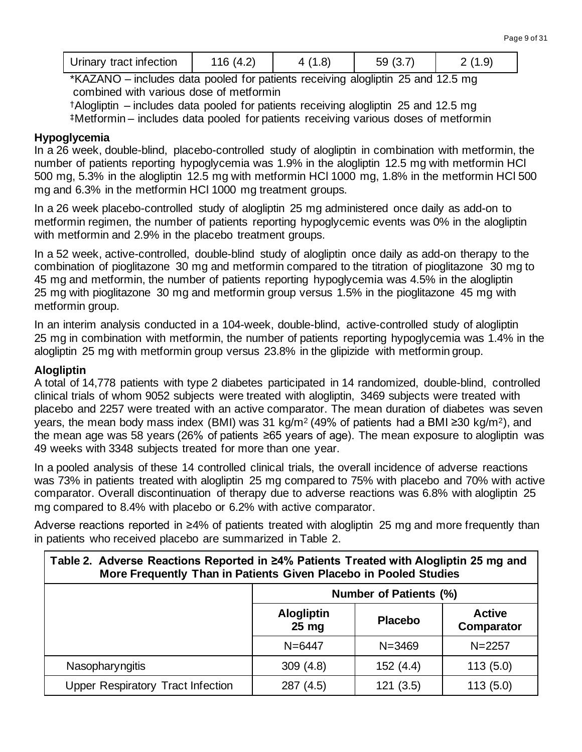| Urinary tract infection<br>116 (4.2)<br>59(3)<br>. |
|----------------------------------------------------|
|----------------------------------------------------|

\*KAZANO – includes data pooled for patients receiving alogliptin 25 and 12.5 mg combined with various dose of metformin

†Alogliptin – includes data pooled for patients receiving alogliptin 25 and 12.5 mg ‡Metformin – includes data pooled for patients receiving various doses of metformin

#### **Hypoglycemia**

In a 26 week, double-blind, placebo-controlled study of alogliptin in combination with metformin, the number of patients reporting hypoglycemia was 1.9% in the alogliptin 12.5 mg with metformin HCl 500 mg, 5.3% in the alogliptin 12.5 mg with metformin HCl 1000 mg, 1.8% in the metformin HCl 500 mg and 6.3% in the metformin HCl 1000 mg treatment groups.

In a 26 week placebo-controlled study of alogliptin 25 mg administered once daily as add-on to metformin regimen, the number of patients reporting hypoglycemic events was 0% in the alogliptin with metformin and 2.9% in the placebo treatment groups.

In a 52 week, active-controlled, double-blind study of alogliptin once daily as add-on therapy to the combination of pioglitazone 30 mg and metformin compared to the titration of pioglitazone 30 mg to 45 mg and metformin, the number of patients reporting hypoglycemia was 4.5% in the alogliptin 25 mg with pioglitazone 30 mg and metformin group versus 1.5% in the pioglitazone 45 mg with metformin group.

In an interim analysis conducted in a 104-week, double-blind, active-controlled study of alogliptin 25 mg in combination with metformin, the number of patients reporting hypoglycemia was 1.4% in the alogliptin 25 mg with metformin group versus 23.8% in the glipizide with metformin group.

#### **Alogliptin**

A total of 14,778 patients with type 2 diabetes participated in 14 randomized, double-blind, controlled clinical trials of whom 9052 subjects were treated with alogliptin, 3469 subjects were treated with placebo and 2257 were treated with an active comparator. The mean duration of diabetes was seven years, the mean body mass index (BMI) was 31 kg/m<sup>2</sup> (49% of patients had a BMI ≥30 kg/m<sup>2</sup>), and the mean age was 58 years (26% of patients ≥65 years of age). The mean exposure to alogliptin was 49 weeks with 3348 subjects treated for more than one year.

In a pooled analysis of these 14 controlled clinical trials, the overall incidence of adverse reactions was 73% in patients treated with alogliptin 25 mg compared to 75% with placebo and 70% with active comparator. Overall discontinuation of therapy due to adverse reactions was 6.8% with alogliptin 25 mg compared to 8.4% with placebo or 6.2% with active comparator.

Adverse reactions reported in ≥4% of patients treated with alogliptin 25 mg and more frequently than in patients who received placebo are summarized in Table 2.

| Table 2. Adverse Reactions Reported in ≥4% Patients Treated with Alogliptin 25 mg and<br>More Frequently Than in Patients Given Placebo in Pooled Studies |                               |                |                             |  |  |
|-----------------------------------------------------------------------------------------------------------------------------------------------------------|-------------------------------|----------------|-----------------------------|--|--|
|                                                                                                                                                           | <b>Number of Patients (%)</b> |                |                             |  |  |
|                                                                                                                                                           | <b>Alogliptin</b><br>$25$ mg  | <b>Placebo</b> | <b>Active</b><br>Comparator |  |  |
|                                                                                                                                                           | $N = 6447$                    | $N = 3469$     | $N = 2257$                  |  |  |
| Nasopharyngitis                                                                                                                                           | 309(4.8)                      | 152 (4.4)      | 113(5.0)                    |  |  |
| <b>Upper Respiratory Tract Infection</b>                                                                                                                  | 287 (4.5)                     | 121(3.5)       | 113(5.0)                    |  |  |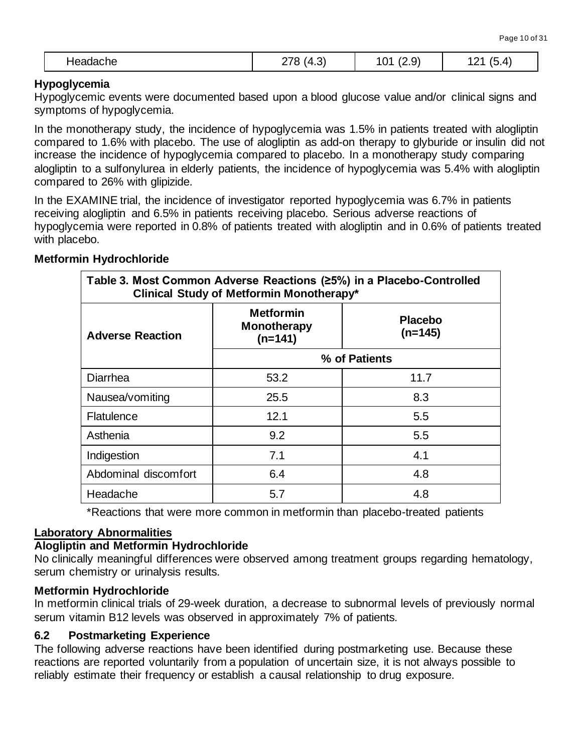|--|

#### **Hypoglycemia**

Hypoglycemic events were documented based upon a blood glucose value and/or clinical signs and symptoms of hypoglycemia.

In the monotherapy study, the incidence of hypoglycemia was 1.5% in patients treated with alogliptin compared to 1.6% with placebo. The use of alogliptin as add-on therapy to glyburide or insulin did not increase the incidence of hypoglycemia compared to placebo. In a monotherapy study comparing alogliptin to a sulfonylurea in elderly patients, the incidence of hypoglycemia was 5.4% with alogliptin compared to 26% with glipizide.

In the EXAMINE trial, the incidence of investigator reported hypoglycemia was 6.7% in patients receiving alogliptin and 6.5% in patients receiving placebo. Serious adverse reactions of hypoglycemia were reported in 0.8% of patients treated with alogliptin and in 0.6% of patients treated with placebo.

#### **Metformin Hydrochloride**

| Table 3. Most Common Adverse Reactions (25%) in a Placebo-Controlled<br>Clinical Study of Metformin Monotherapy* |                                                     |                             |  |  |  |
|------------------------------------------------------------------------------------------------------------------|-----------------------------------------------------|-----------------------------|--|--|--|
| <b>Adverse Reaction</b>                                                                                          | <b>Metformin</b><br><b>Monotherapy</b><br>$(n=141)$ | <b>Placebo</b><br>$(n=145)$ |  |  |  |
|                                                                                                                  | % of Patients                                       |                             |  |  |  |
| <b>Diarrhea</b>                                                                                                  | 11.7<br>53.2                                        |                             |  |  |  |
| Nausea/vomiting                                                                                                  | 25.5                                                | 8.3                         |  |  |  |
| Flatulence                                                                                                       | 12.1                                                | 5.5                         |  |  |  |
| Asthenia                                                                                                         | 9.2                                                 | 5.5                         |  |  |  |
| Indigestion                                                                                                      | 7.1                                                 | 4.1                         |  |  |  |
| Abdominal discomfort                                                                                             | 6.4                                                 | 4.8                         |  |  |  |
| Headache                                                                                                         | 5.7                                                 | 4.8                         |  |  |  |

\*Reactions that were more common in metformin than placebo-treated patients

## **Laboratory Abnormalities**

#### **Alogliptin and Metformin Hydrochloride**

No clinically meaningful differences were observed among treatment groups regarding hematology, serum chemistry or urinalysis results.

#### **Metformin Hydrochloride**

In metformin clinical trials of 29-week duration, a decrease to subnormal levels of previously normal serum vitamin B12 levels was observed in approximately 7% of patients.

#### **6.2 Postmarketing Experience**

The following adverse reactions have been identified during postmarketing use. Because these reactions are reported voluntarily from a population of uncertain size, it is not always possible to reliably estimate their frequency or establish a causal relationship to drug exposure.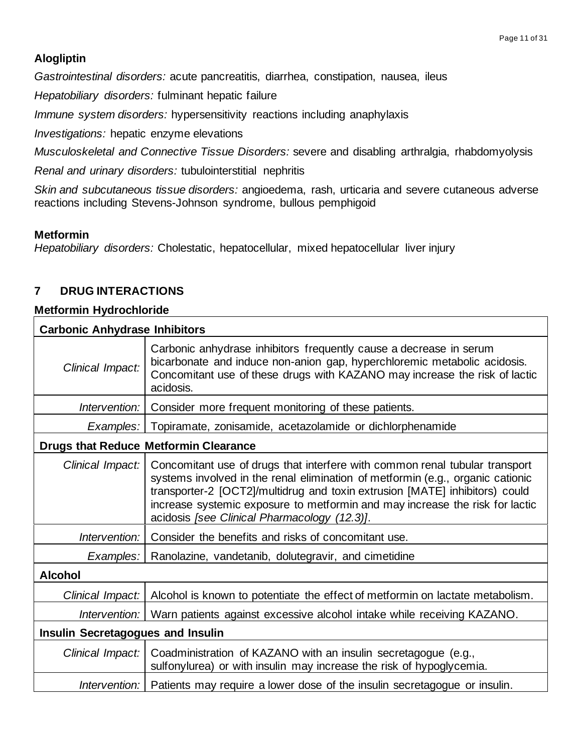# **Alogliptin**

*Gastrointestinal disorders:* acute pancreatitis, diarrhea, constipation, nausea, ileus

*Hepatobiliary disorders:* fulminant hepatic failure

*Immune system disorders:* hypersensitivity reactions including anaphylaxis

*Investigations:* hepatic enzyme elevations

*Musculoskeletal and Connective Tissue Disorders:* severe and disabling arthralgia, rhabdomyolysis

*Renal and urinary disorders:* tubulointerstitial nephritis

*Skin and subcutaneous tissue disorders:* angioedema, rash, urticaria and severe cutaneous adverse reactions including Stevens-Johnson syndrome, bullous pemphigoid

#### **Metformin**

*Hepatobiliary disorders:* Cholestatic, hepatocellular, mixed hepatocellular liver injury

## **7 DRUG INTERACTIONS**

#### **Metformin Hydrochloride**

| <b>Carbonic Anhydrase Inhibitors</b>     |                                                                                                                                                                                                                                                                                                                                                                              |  |  |  |
|------------------------------------------|------------------------------------------------------------------------------------------------------------------------------------------------------------------------------------------------------------------------------------------------------------------------------------------------------------------------------------------------------------------------------|--|--|--|
| Clinical Impact:                         | Carbonic anhydrase inhibitors frequently cause a decrease in serum<br>bicarbonate and induce non-anion gap, hyperchloremic metabolic acidosis.<br>Concomitant use of these drugs with KAZANO may increase the risk of lactic<br>acidosis.                                                                                                                                    |  |  |  |
| Intervention:                            | Consider more frequent monitoring of these patients.                                                                                                                                                                                                                                                                                                                         |  |  |  |
| Examples:                                | Topiramate, zonisamide, acetazolamide or dichlorphenamide                                                                                                                                                                                                                                                                                                                    |  |  |  |
|                                          | <b>Drugs that Reduce Metformin Clearance</b>                                                                                                                                                                                                                                                                                                                                 |  |  |  |
| Clinical Impact:                         | Concomitant use of drugs that interfere with common renal tubular transport<br>systems involved in the renal elimination of metformin (e.g., organic cationic<br>transporter-2 [OCT2]/multidrug and toxin extrusion [MATE] inhibitors) could<br>increase systemic exposure to metformin and may increase the risk for lactic<br>acidosis [see Clinical Pharmacology (12.3)]. |  |  |  |
| Intervention:                            | Consider the benefits and risks of concomitant use.                                                                                                                                                                                                                                                                                                                          |  |  |  |
| Examples:                                | Ranolazine, vandetanib, dolutegravir, and cimetidine                                                                                                                                                                                                                                                                                                                         |  |  |  |
| <b>Alcohol</b>                           |                                                                                                                                                                                                                                                                                                                                                                              |  |  |  |
| Clinical Impact:                         | Alcohol is known to potentiate the effect of metformin on lactate metabolism.                                                                                                                                                                                                                                                                                                |  |  |  |
| Intervention:                            | Warn patients against excessive alcohol intake while receiving KAZANO.                                                                                                                                                                                                                                                                                                       |  |  |  |
| <b>Insulin Secretagogues and Insulin</b> |                                                                                                                                                                                                                                                                                                                                                                              |  |  |  |
| Clinical Impact:                         | Coadministration of KAZANO with an insulin secretagogue (e.g.,<br>sulfonylurea) or with insulin may increase the risk of hypoglycemia.                                                                                                                                                                                                                                       |  |  |  |
|                                          | Intervention:   Patients may require a lower dose of the insulin secretagogue or insulin.                                                                                                                                                                                                                                                                                    |  |  |  |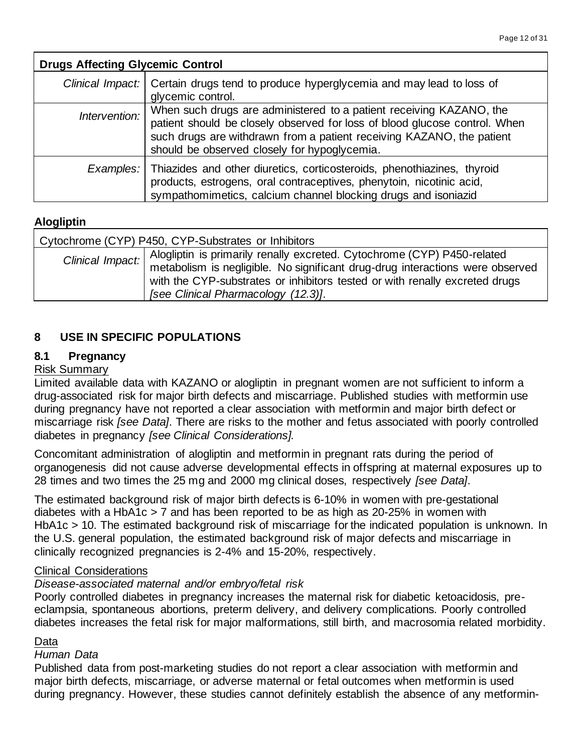| <b>Drugs Affecting Glycemic Control</b> |                                                                                                                                                                                                                                                                            |  |  |  |
|-----------------------------------------|----------------------------------------------------------------------------------------------------------------------------------------------------------------------------------------------------------------------------------------------------------------------------|--|--|--|
|                                         | Clinical Impact:   Certain drugs tend to produce hyperglycemia and may lead to loss of<br>glycemic control.                                                                                                                                                                |  |  |  |
| Intervention:                           | When such drugs are administered to a patient receiving KAZANO, the<br>patient should be closely observed for loss of blood glucose control. When<br>such drugs are withdrawn from a patient receiving KAZANO, the patient<br>should be observed closely for hypoglycemia. |  |  |  |
| Examples:                               | Thiazides and other diuretics, corticosteroids, phenothiazines, thyroid<br>products, estrogens, oral contraceptives, phenytoin, nicotinic acid,<br>sympathomimetics, calcium channel blocking drugs and isoniazid                                                          |  |  |  |

## **Alogliptin**

| Cytochrome (CYP) P450, CYP-Substrates or Inhibitors |                                                                                                                                                                                                                                                                                |  |  |  |
|-----------------------------------------------------|--------------------------------------------------------------------------------------------------------------------------------------------------------------------------------------------------------------------------------------------------------------------------------|--|--|--|
| Clinical Impact:                                    | Alogliptin is primarily renally excreted. Cytochrome (CYP) P450-related<br>metabolism is negligible. No significant drug-drug interactions were observed<br>with the CYP-substrates or inhibitors tested or with renally excreted drugs<br>[see Clinical Pharmacology (12.3)]. |  |  |  |

## **8 USE IN SPECIFIC POPULATIONS**

#### **8.1 Pregnancy**

#### Risk Summary

Limited available data with KAZANO or alogliptin in pregnant women are not sufficient to inform a drug-associated risk for major birth defects and miscarriage. Published studies with metformin use during pregnancy have not reported a clear association with metformin and major birth defect or miscarriage risk *[see Data]*. There are risks to the mother and fetus associated with poorly controlled diabetes in pregnancy *[see Clinical Considerations].*

Concomitant administration of alogliptin and metformin in pregnant rats during the period of organogenesis did not cause adverse developmental effects in offspring at maternal exposures up to 28 times and two times the 25 mg and 2000 mg clinical doses, respectively *[see Data]*.

The estimated background risk of major birth defects is 6-10% in women with pre-gestational diabetes with a HbA1c > 7 and has been reported to be as high as 20-25% in women with HbA1c > 10. The estimated background risk of miscarriage for the indicated population is unknown. In the U.S. general population, the estimated background risk of major defects and miscarriage in clinically recognized pregnancies is 2-4% and 15-20%, respectively.

#### Clinical Considerations

#### *Disease-associated maternal and/or embryo/fetal risk*

Poorly controlled diabetes in pregnancy increases the maternal risk for diabetic ketoacidosis, preeclampsia, spontaneous abortions, preterm delivery, and delivery complications. Poorly controlled diabetes increases the fetal risk for major malformations, still birth, and macrosomia related morbidity.

#### Data

#### *Human Data*

Published data from post-marketing studies do not report a clear association with metformin and major birth defects, miscarriage, or adverse maternal or fetal outcomes when metformin is used during pregnancy. However, these studies cannot definitely establish the absence of any metformin-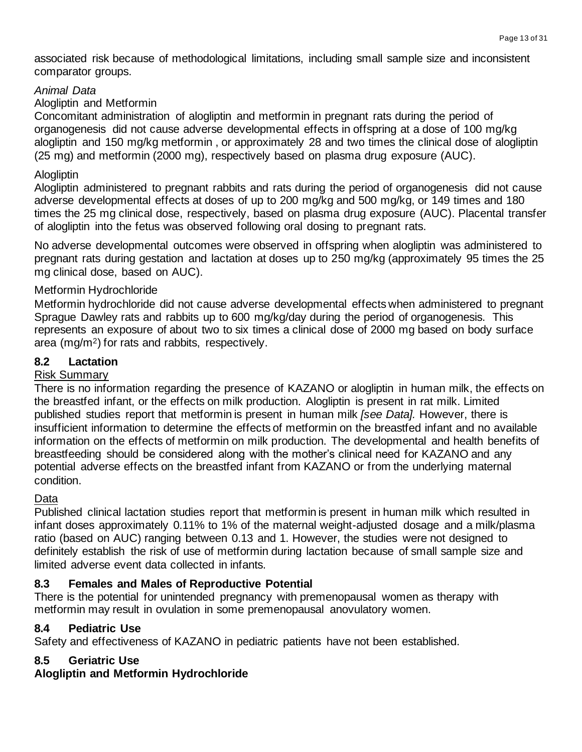associated risk because of methodological limitations, including small sample size and inconsistent comparator groups.

## *Animal Data*

## Alogliptin and Metformin

Concomitant administration of alogliptin and metformin in pregnant rats during the period of organogenesis did not cause adverse developmental effects in offspring at a dose of 100 mg/kg alogliptin and 150 mg/kg metformin , or approximately 28 and two times the clinical dose of alogliptin (25 mg) and metformin (2000 mg), respectively based on plasma drug exposure (AUC).

## **Alogliptin**

Alogliptin administered to pregnant rabbits and rats during the period of organogenesis did not cause adverse developmental effects at doses of up to 200 mg/kg and 500 mg/kg, or 149 times and 180 times the 25 mg clinical dose, respectively, based on plasma drug exposure (AUC). Placental transfer of alogliptin into the fetus was observed following oral dosing to pregnant rats.

No adverse developmental outcomes were observed in offspring when alogliptin was administered to pregnant rats during gestation and lactation at doses up to 250 mg/kg (approximately 95 times the 25 mg clinical dose, based on AUC).

## Metformin Hydrochloride

Metformin hydrochloride did not cause adverse developmental effects when administered to pregnant Sprague Dawley rats and rabbits up to 600 mg/kg/day during the period of organogenesis. This represents an exposure of about two to six times a clinical dose of 2000 mg based on body surface area (mg/m2) for rats and rabbits, respectively.

## **8.2 Lactation**

## Risk Summary

There is no information regarding the presence of KAZANO or alogliptin in human milk, the effects on the breastfed infant, or the effects on milk production*.* Alogliptin is present in rat milk. Limited published studies report that metformin is present in human milk *[see Data].* However, there is insufficient information to determine the effects of metformin on the breastfed infant and no available information on the effects of metformin on milk production. The developmental and health benefits of breastfeeding should be considered along with the mother's clinical need for KAZANO and any potential adverse effects on the breastfed infant from KAZANO or from the underlying maternal condition.

# Data

Published clinical lactation studies report that metformin is present in human milk which resulted in infant doses approximately 0.11% to 1% of the maternal weight-adjusted dosage and a milk/plasma ratio (based on AUC) ranging between 0.13 and 1. However, the studies were not designed to definitely establish the risk of use of metformin during lactation because of small sample size and limited adverse event data collected in infants.

# **8.3 Females and Males of Reproductive Potential**

There is the potential for unintended pregnancy with premenopausal women as therapy with metformin may result in ovulation in some premenopausal anovulatory women.

## **8.4 Pediatric Use**

Safety and effectiveness of KAZANO in pediatric patients have not been established.

# **8.5 Geriatric Use**

## **Alogliptin and Metformin Hydrochloride**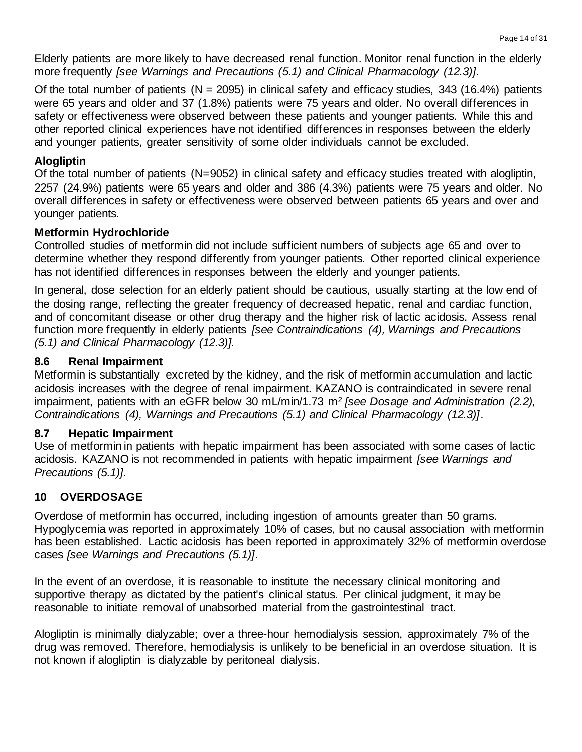Elderly patients are more likely to have decreased renal function. Monitor renal function in the elderly more frequently *[see Warnings and Precautions (5.1) and Clinical Pharmacology (12.3)]*.

Of the total number of patients ( $N = 2095$ ) in clinical safety and efficacy studies, 343 (16.4%) patients were 65 years and older and 37 (1.8%) patients were 75 years and older. No overall differences in safety or effectiveness were observed between these patients and younger patients. While this and other reported clinical experiences have not identified differences in responses between the elderly and younger patients, greater sensitivity of some older individuals cannot be excluded.

## **Alogliptin**

Of the total number of patients (N=9052) in clinical safety and efficacy studies treated with alogliptin, 2257 (24.9%) patients were 65 years and older and 386 (4.3%) patients were 75 years and older. No overall differences in safety or effectiveness were observed between patients 65 years and over and younger patients.

#### **Metformin Hydrochloride**

Controlled studies of metformin did not include sufficient numbers of subjects age 65 and over to determine whether they respond differently from younger patients. Other reported clinical experience has not identified differences in responses between the elderly and younger patients.

In general, dose selection for an elderly patient should be cautious, usually starting at the low end of the dosing range, reflecting the greater frequency of decreased hepatic, renal and cardiac function, and of concomitant disease or other drug therapy and the higher risk of lactic acidosis. Assess renal function more frequently in elderly patients *[see Contraindications (4), Warnings and Precautions (5.1) and Clinical Pharmacology (12.3)].*

#### **8.6 Renal Impairment**

Metformin is substantially excreted by the kidney, and the risk of metformin accumulation and lactic acidosis increases with the degree of renal impairment. KAZANO is contraindicated in severe renal impairment, patients with an eGFR below 30 mL/min/1.73 m<sup>2</sup> *[see Dosage and Administration (2.2), Contraindications (4), Warnings and Precautions (5.1) and Clinical Pharmacology (12.3)]*.

#### **8.7 Hepatic Impairment**

Use of metformin in patients with hepatic impairment has been associated with some cases of lactic acidosis. KAZANO is not recommended in patients with hepatic impairment *[see Warnings and Precautions (5.1)]*.

## **10 OVERDOSAGE**

Overdose of metformin has occurred, including ingestion of amounts greater than 50 grams. Hypoglycemia was reported in approximately 10% of cases, but no causal association with metformin has been established. Lactic acidosis has been reported in approximately 32% of metformin overdose cases *[see Warnings and Precautions (5.1)]*.

In the event of an overdose, it is reasonable to institute the necessary clinical monitoring and supportive therapy as dictated by the patient's clinical status. Per clinical judgment, it may be reasonable to initiate removal of unabsorbed material from the gastrointestinal tract.

Alogliptin is minimally dialyzable; over a three-hour hemodialysis session, approximately 7% of the drug was removed. Therefore, hemodialysis is unlikely to be beneficial in an overdose situation. It is not known if alogliptin is dialyzable by peritoneal dialysis.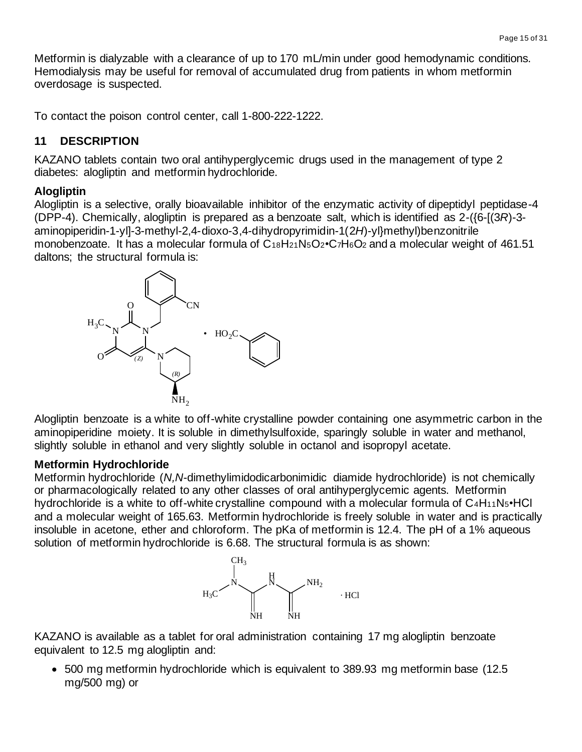Metformin is dialyzable with a clearance of up to 170 mL/min under good hemodynamic conditions. Hemodialysis may be useful for removal of accumulated drug from patients in whom metformin overdosage is suspected.

To contact the poison control center, call 1-800-222-1222.

## **11 DESCRIPTION**

KAZANO tablets contain two oral antihyperglycemic drugs used in the management of type 2 diabetes: alogliptin and metformin hydrochloride.

## **Alogliptin**

Alogliptin is a selective, orally bioavailable inhibitor of the enzymatic activity of dipeptidyl peptidase-4 (DPP-4). Chemically, alogliptin is prepared as a benzoate salt, which is identified as 2-({6-[(3*R*)-3 aminopiperidin-1-yl]-3-methyl-2,4-dioxo-3,4-dihydropyrimidin-1(2*H*)-yl}methyl)benzonitrile monobenzoate. It has a molecular formula of C18H21N5O2•C7H6O<sup>2</sup> and a molecular weight of 461.51 daltons; the structural formula is:



Alogliptin benzoate is a white to off-white crystalline powder containing one asymmetric carbon in the aminopiperidine moiety. It is soluble in dimethylsulfoxide, sparingly soluble in water and methanol, slightly soluble in ethanol and very slightly soluble in octanol and isopropyl acetate.

## **Metformin Hydrochloride**

Metformin hydrochloride (*N,N*-dimethylimidodicarbonimidic diamide hydrochloride) is not chemically or pharmacologically related to any other classes of oral antihyperglycemic agents. Metformin hydrochloride is a white to off-white crystalline compound with a molecular formula of C<sub>4</sub>H<sub>11</sub>N<sub>5</sub>•HCl and a molecular weight of 165.63. Metformin hydrochloride is freely soluble in water and is practically insoluble in acetone, ether and chloroform. The pKa of metformin is 12.4. The pH of a 1% aqueous solution of metformin hydrochloride is 6.68. The structural formula is as shown:



KAZANO is available as a tablet for oral administration containing 17 mg alogliptin benzoate equivalent to 12.5 mg alogliptin and:

• 500 mg metformin hydrochloride which is equivalent to 389.93 mg metformin base (12.5 mg/500 mg) or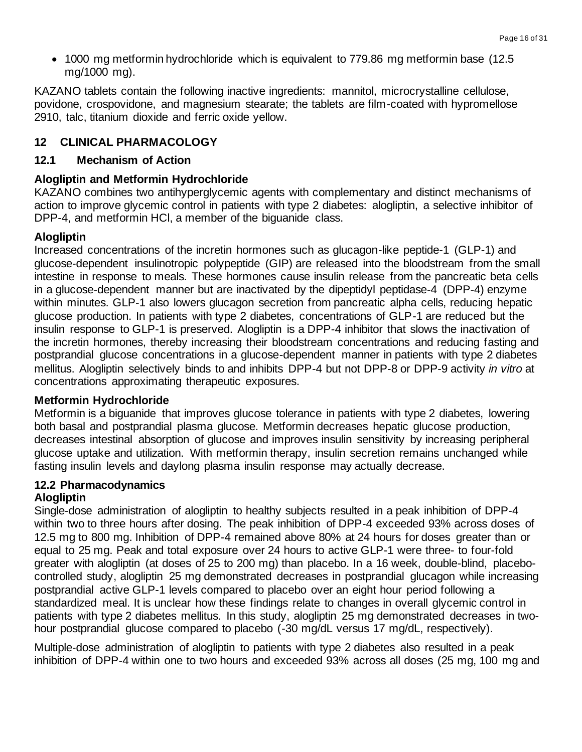• 1000 mg metformin hydrochloride which is equivalent to 779.86 mg metformin base (12.5 mg/1000 mg).

KAZANO tablets contain the following inactive ingredients: mannitol, microcrystalline cellulose, povidone, crospovidone, and magnesium stearate; the tablets are film-coated with hypromellose 2910, talc, titanium dioxide and ferric oxide yellow.

## **12 CLINICAL PHARMACOLOGY**

## **12.1 Mechanism of Action**

## **Alogliptin and Metformin Hydrochloride**

KAZANO combines two antihyperglycemic agents with complementary and distinct mechanisms of action to improve glycemic control in patients with type 2 diabetes: alogliptin, a selective inhibitor of DPP-4, and metformin HCl, a member of the biguanide class.

## **Alogliptin**

Increased concentrations of the incretin hormones such as glucagon-like peptide-1 (GLP-1) and glucose-dependent insulinotropic polypeptide (GIP) are released into the bloodstream from the small intestine in response to meals. These hormones cause insulin release from the pancreatic beta cells in a glucose-dependent manner but are inactivated by the dipeptidyl peptidase-4 (DPP-4) enzyme within minutes. GLP-1 also lowers glucagon secretion from pancreatic alpha cells, reducing hepatic glucose production. In patients with type 2 diabetes, concentrations of GLP-1 are reduced but the insulin response to GLP-1 is preserved. Alogliptin is a DPP-4 inhibitor that slows the inactivation of the incretin hormones, thereby increasing their bloodstream concentrations and reducing fasting and postprandial glucose concentrations in a glucose-dependent manner in patients with type 2 diabetes mellitus. Alogliptin selectively binds to and inhibits DPP-4 but not DPP-8 or DPP-9 activity *in vitro* at concentrations approximating therapeutic exposures.

## **Metformin Hydrochloride**

Metformin is a biguanide that improves glucose tolerance in patients with type 2 diabetes, lowering both basal and postprandial plasma glucose. Metformin decreases hepatic glucose production, decreases intestinal absorption of glucose and improves insulin sensitivity by increasing peripheral glucose uptake and utilization. With metformin therapy, insulin secretion remains unchanged while fasting insulin levels and daylong plasma insulin response may actually decrease.

# **12.2 Pharmacodynamics**

## **Alogliptin**

Single-dose administration of alogliptin to healthy subjects resulted in a peak inhibition of DPP-4 within two to three hours after dosing. The peak inhibition of DPP-4 exceeded 93% across doses of 12.5 mg to 800 mg. Inhibition of DPP-4 remained above 80% at 24 hours for doses greater than or equal to 25 mg. Peak and total exposure over 24 hours to active GLP-1 were three- to four-fold greater with alogliptin (at doses of 25 to 200 mg) than placebo. In a 16 week, double-blind, placebocontrolled study, alogliptin 25 mg demonstrated decreases in postprandial glucagon while increasing postprandial active GLP-1 levels compared to placebo over an eight hour period following a standardized meal. It is unclear how these findings relate to changes in overall glycemic control in patients with type 2 diabetes mellitus. In this study, alogliptin 25 mg demonstrated decreases in twohour postprandial glucose compared to placebo (-30 mg/dL versus 17 mg/dL, respectively).

Multiple-dose administration of alogliptin to patients with type 2 diabetes also resulted in a peak inhibition of DPP-4 within one to two hours and exceeded 93% across all doses (25 mg, 100 mg and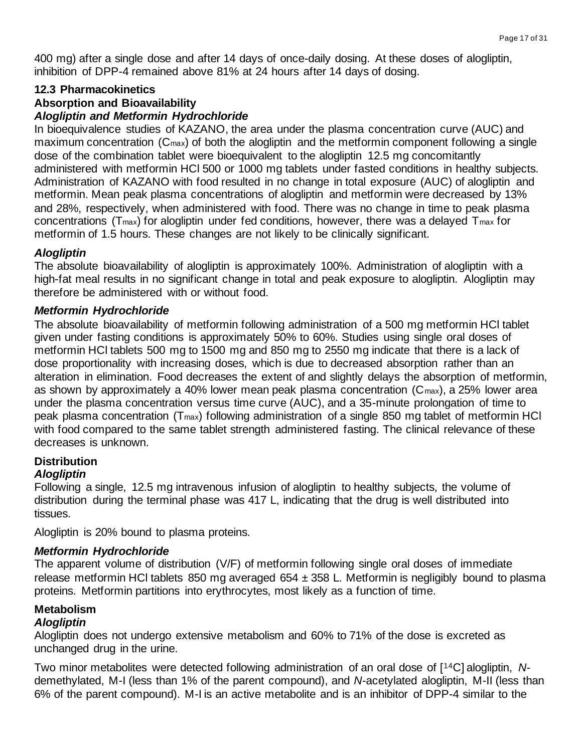400 mg) after a single dose and after 14 days of once-daily dosing. At these doses of alogliptin, inhibition of DPP-4 remained above 81% at 24 hours after 14 days of dosing.

#### **12.3 Pharmacokinetics**

## **Absorption and Bioavailability**

#### *Alogliptin and Metformin Hydrochloride*

In bioequivalence studies of KAZANO, the area under the plasma concentration curve (AUC) and maximum concentration (C<sub>max</sub>) of both the alogliptin and the metformin component following a single dose of the combination tablet were bioequivalent to the alogliptin 12.5 mg concomitantly administered with metformin HCl 500 or 1000 mg tablets under fasted conditions in healthy subjects. Administration of KAZANO with food resulted in no change in total exposure (AUC) of alogliptin and metformin. Mean peak plasma concentrations of alogliptin and metformin were decreased by 13% and 28%, respectively, when administered with food. There was no change in time to peak plasma concentrations ( $T_{\text{max}}$ ) for alogliptin under fed conditions, however, there was a delayed  $T_{\text{max}}$  for metformin of 1.5 hours. These changes are not likely to be clinically significant.

#### *Alogliptin*

The absolute bioavailability of alogliptin is approximately 100%. Administration of alogliptin with a high-fat meal results in no significant change in total and peak exposure to alogliptin. Alogliptin may therefore be administered with or without food.

#### *Metformin Hydrochloride*

The absolute bioavailability of metformin following administration of a 500 mg metformin HCl tablet given under fasting conditions is approximately 50% to 60%. Studies using single oral doses of metformin HCl tablets 500 mg to 1500 mg and 850 mg to 2550 mg indicate that there is a lack of dose proportionality with increasing doses, which is due to decreased absorption rather than an alteration in elimination. Food decreases the extent of and slightly delays the absorption of metformin, as shown by approximately a 40% lower mean peak plasma concentration (Cmax), a 25% lower area under the plasma concentration versus time curve (AUC), and a 35-minute prolongation of time to peak plasma concentration (Tmax) following administration of a single 850 mg tablet of metformin HCl with food compared to the same tablet strength administered fasting. The clinical relevance of these decreases is unknown.

#### **Distribution**

#### *Alogliptin*

Following a single, 12.5 mg intravenous infusion of alogliptin to healthy subjects, the volume of distribution during the terminal phase was 417 L, indicating that the drug is well distributed into tissues.

Alogliptin is 20% bound to plasma proteins.

#### *Metformin Hydrochloride*

The apparent volume of distribution (V/F) of metformin following single oral doses of immediate release metformin HCI tablets 850 mg averaged 654  $\pm$  358 L. Metformin is negligibly bound to plasma proteins. Metformin partitions into erythrocytes, most likely as a function of time.

# **Metabolism**

## *Alogliptin*

Alogliptin does not undergo extensive metabolism and 60% to 71% of the dose is excreted as unchanged drug in the urine.

Two minor metabolites were detected following administration of an oral dose of [14C] alogliptin, *N*demethylated, M-I (less than 1% of the parent compound), and *N*-acetylated alogliptin, M-II (less than 6% of the parent compound). M-I is an active metabolite and is an inhibitor of DPP-4 similar to the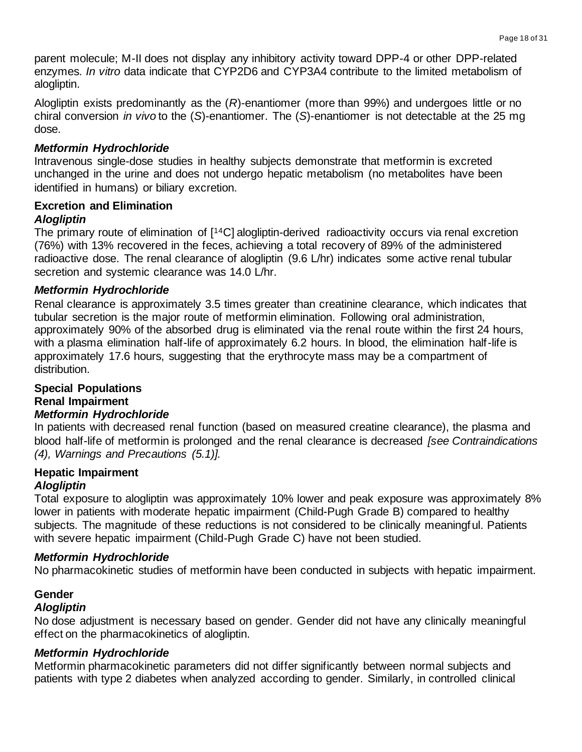parent molecule; M-II does not display any inhibitory activity toward DPP-4 or other DPP-related enzymes. *In vitro* data indicate that CYP2D6 and CYP3A4 contribute to the limited metabolism of alogliptin.

Alogliptin exists predominantly as the (*R*)-enantiomer (more than 99%) and undergoes little or no chiral conversion *in vivo* to the (*S*)-enantiomer. The (*S*)-enantiomer is not detectable at the 25 mg dose.

#### *Metformin Hydrochloride*

Intravenous single-dose studies in healthy subjects demonstrate that metformin is excreted unchanged in the urine and does not undergo hepatic metabolism (no metabolites have been identified in humans) or biliary excretion.

## **Excretion and Elimination**

#### *Alogliptin*

The primary route of elimination of [14C] alogliptin-derived radioactivity occurs via renal excretion (76%) with 13% recovered in the feces, achieving a total recovery of 89% of the administered radioactive dose. The renal clearance of alogliptin (9.6 L/hr) indicates some active renal tubular secretion and systemic clearance was 14.0 L/hr.

#### *Metformin Hydrochloride*

Renal clearance is approximately 3.5 times greater than creatinine clearance, which indicates that tubular secretion is the major route of metformin elimination. Following oral administration, approximately 90% of the absorbed drug is eliminated via the renal route within the first 24 hours, with a plasma elimination half-life of approximately 6.2 hours. In blood, the elimination half-life is approximately 17.6 hours, suggesting that the erythrocyte mass may be a compartment of distribution.

#### **Special Populations Renal Impairment**

## *Metformin Hydrochloride*

In patients with decreased renal function (based on measured creatine clearance), the plasma and blood half-life of metformin is prolonged and the renal clearance is decreased *[see Contraindications (4), Warnings and Precautions (5.1)].*

## **Hepatic Impairment**

## *Alogliptin*

Total exposure to alogliptin was approximately 10% lower and peak exposure was approximately 8% lower in patients with moderate hepatic impairment (Child-Pugh Grade B) compared to healthy subjects. The magnitude of these reductions is not considered to be clinically meaningful. Patients with severe hepatic impairment (Child-Pugh Grade C) have not been studied.

#### *Metformin Hydrochloride*

No pharmacokinetic studies of metformin have been conducted in subjects with hepatic impairment.

#### **Gender** *Alogliptin*

No dose adjustment is necessary based on gender. Gender did not have any clinically meaningful effect on the pharmacokinetics of alogliptin.

#### *Metformin Hydrochloride*

Metformin pharmacokinetic parameters did not differ significantly between normal subjects and patients with type 2 diabetes when analyzed according to gender. Similarly, in controlled clinical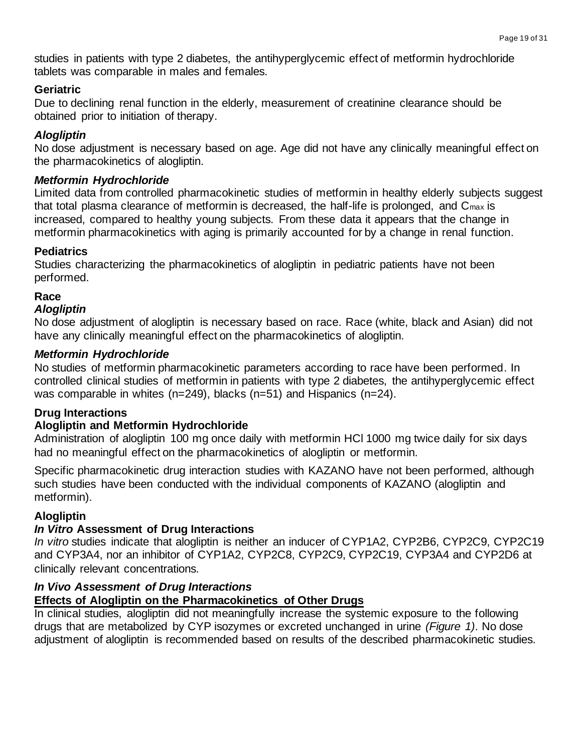studies in patients with type 2 diabetes, the antihyperglycemic effect of metformin hydrochloride tablets was comparable in males and females.

#### **Geriatric**

Due to declining renal function in the elderly, measurement of creatinine clearance should be obtained prior to initiation of therapy.

## *Alogliptin*

No dose adjustment is necessary based on age. Age did not have any clinically meaningful effect on the pharmacokinetics of alogliptin.

## *Metformin Hydrochloride*

Limited data from controlled pharmacokinetic studies of metformin in healthy elderly subjects suggest that total plasma clearance of metformin is decreased, the half-life is prolonged, and Cmax is increased, compared to healthy young subjects. From these data it appears that the change in metformin pharmacokinetics with aging is primarily accounted for by a change in renal function.

## **Pediatrics**

Studies characterizing the pharmacokinetics of alogliptin in pediatric patients have not been performed.

# **Race**

#### *Alogliptin*

No dose adjustment of alogliptin is necessary based on race. Race (white, black and Asian) did not have any clinically meaningful effect on the pharmacokinetics of alogliptin.

#### *Metformin Hydrochloride*

No studies of metformin pharmacokinetic parameters according to race have been performed. In controlled clinical studies of metformin in patients with type 2 diabetes, the antihyperglycemic effect was comparable in whites (n=249), blacks (n=51) and Hispanics (n=24).

## **Drug Interactions**

## **Alogliptin and Metformin Hydrochloride**

Administration of alogliptin 100 mg once daily with metformin HCl 1000 mg twice daily for six days had no meaningful effect on the pharmacokinetics of alogliptin or metformin.

Specific pharmacokinetic drug interaction studies with KAZANO have not been performed, although such studies have been conducted with the individual components of KAZANO (alogliptin and metformin).

## **Alogliptin**

## *In Vitro* **Assessment of Drug Interactions**

*In vitro* studies indicate that alogliptin is neither an inducer of CYP1A2, CYP2B6, CYP2C9, CYP2C19 and CYP3A4, nor an inhibitor of CYP1A2, CYP2C8, CYP2C9, CYP2C19, CYP3A4 and CYP2D6 at clinically relevant concentrations.

#### *In Vivo Assessment of Drug Interactions*

## **Effects of Alogliptin on the Pharmacokinetics of Other Drugs**

In clinical studies, alogliptin did not meaningfully increase the systemic exposure to the following drugs that are metabolized by CYP isozymes or excreted unchanged in urine *(Figure 1)*. No dose adjustment of alogliptin is recommended based on results of the described pharmacokinetic studies.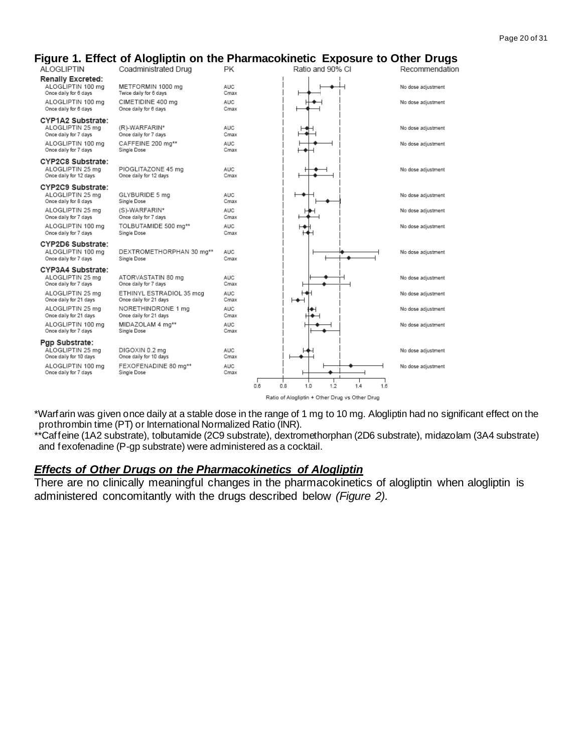#### **Figure 1. Effect of Alogliptin on the Pharmacokinetic Exposure to Other Drugs** tion

| <b>ALOGLIPTIN</b>                           | , ., , , , ,<br>Coadministrated Drug               | <b>PK</b>          | Ratio and 90% CI                               | Recommendat        |
|---------------------------------------------|----------------------------------------------------|--------------------|------------------------------------------------|--------------------|
| Renally Excreted:<br>ALOGLIPTIN 100 mg      | METFORMIN 1000 mg                                  | <b>AUC</b>         |                                                | No dose adjustment |
| Once daily for 6 days                       | Twice daily for 6 days                             | Cmax               |                                                |                    |
| ALOGLIPTIN 100 mg<br>Once daily for 6 days  | CIMETIDINE 400 ma<br>Once daily for 6 days         | <b>AUC</b><br>Cmax |                                                | No dose adjustment |
| CYP1A2 Substrate:                           |                                                    |                    |                                                |                    |
| ALOGLIPTIN 25 mg<br>Once daily for 7 days   | (R)-WARFARIN*<br>Once daily for 7 days             | <b>AUC</b><br>Cmax |                                                | No dose adjustment |
| ALOGLIPTIN 100 mg                           | CAFFEINE 200 mg**                                  | <b>AUC</b>         |                                                | No dose adjustment |
| Once daily for 7 days                       | Single Dose                                        | Cmax               |                                                |                    |
| CYP2C8 Substrate:                           |                                                    |                    |                                                |                    |
| ALOGLIPTIN 25 mg<br>Once daily for 12 days  | PIOGLITAZONE 45 mg<br>Once daily for 12 days       | <b>AUC</b><br>Cmax |                                                | No dose adjustment |
| CYP2C9 Substrate:                           |                                                    |                    |                                                |                    |
| ALOGLIPTIN 25 ma<br>Once daily for 8 days   | GLYBURIDE 5 mg<br>Single Dose                      | <b>AUC</b><br>Cmax |                                                | No dose adjustment |
| ALOGLIPTIN 25 mg                            | (S)-WARFARIN*                                      | <b>AUC</b>         |                                                | No dose adjustment |
| Once daily for 7 days                       | Once daily for 7 days                              | Cmax               |                                                |                    |
| ALOGLIPTIN 100 mg<br>Once daily for 7 days  | TOLBUTAMIDE 500 mg**<br>Single Dose                | <b>AUC</b><br>Cmax |                                                | No dose adjustment |
| CYP2D6 Substrate:                           |                                                    |                    |                                                |                    |
| ALOGLIPTIN 100 mg                           | DEXTROMETHORPHAN 30 mg**                           | <b>AUC</b>         |                                                | No dose adjustment |
| Once daily for 7 days                       | Single Dose                                        | Cmax               |                                                |                    |
| CYP3A4 Substrate:<br>ALOGLIPTIN 25 mg       | ATORVASTATIN 80 mg                                 | <b>AUC</b>         |                                                | No dose adjustment |
| Once daily for 7 days                       | Once daily for 7 days                              | Cmax               |                                                |                    |
| ALOGLIPTIN 25 mg<br>Once daily for 21 days  | ETHINYL ESTRADIOL 35 mcg<br>Once daily for 21 days | <b>AUC</b><br>Cmax |                                                | No dose adjustment |
| ALOGLIPTIN 25 mg                            | NORETHINDRONE 1 mg                                 | <b>AUC</b>         |                                                | No dose adjustment |
| Once daily for 21 days                      | Once daily for 21 days                             | Cmax               |                                                |                    |
| ALOGLIPTIN 100 mg<br>Once daily for 7 days  | MIDAZOLAM 4 mg**<br>Single Dose                    | <b>AUC</b><br>Cmax |                                                | No dose adjustment |
| Pgp Substrate:                              |                                                    |                    |                                                |                    |
| ALOGLIPTIN 25 mg                            | DIGOXIN 0.2 mg                                     | <b>AUC</b>         |                                                | No dose adjustment |
| Once daily for 10 days<br>ALOGLIPTIN 100 mg | Once daily for 10 days<br>FEXOFENADINE 80 mg**     | Cmax<br><b>AUC</b> |                                                | No dose adjustment |
| Once daily for 7 days                       | Single Dose                                        | Cmax               |                                                |                    |
|                                             |                                                    | 0.6                | 0.8<br>1.0<br>1.2<br>1.4<br>1.6                |                    |
|                                             |                                                    |                    | Ratio of Alogliptin + Other Drug vs Other Drug |                    |

\*Warfarin was given once daily at a stable dose in the range of 1 mg to 10 mg. Alogliptin had no significant effect on the prothrombin time (PT) or International Normalized Ratio (INR).

\*\*Caffeine (1A2 substrate), tolbutamide (2C9 substrate), dextromethorphan (2D6 substrate), midazolam (3A4 substrate) and fexofenadine (P-gp substrate) were administered as a cocktail.

#### *Effects of Other Drugs on the Pharmacokinetics of Alogliptin*

There are no clinically meaningful changes in the pharmacokinetics of alogliptin when alogliptin is administered concomitantly with the drugs described below *(Figure 2).*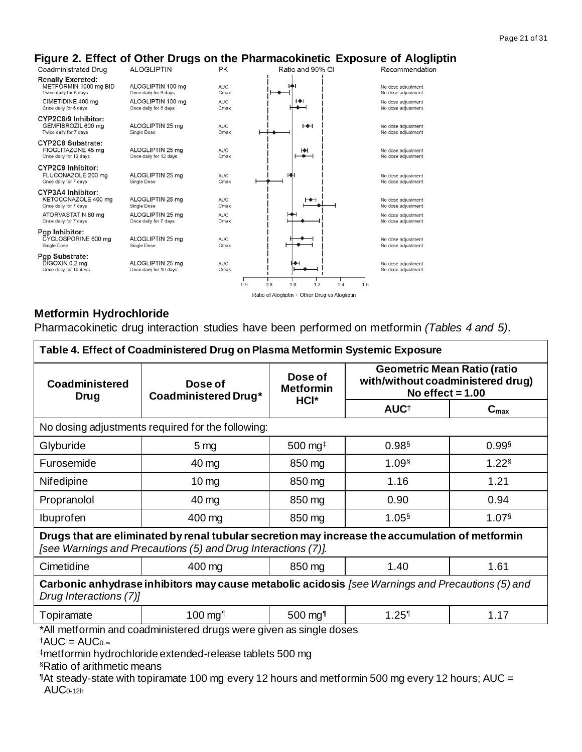

## **Metformin Hydrochloride**

Pharmacokinetic drug interaction studies have been performed on metformin *(Tables 4 and 5)*.

| Table 4. Effect of Coadministered Drug on Plasma Metformin Systemic Exposure                                                                                     |                                                                                             |                                                      |                                                                                               |                  |  |  |  |  |
|------------------------------------------------------------------------------------------------------------------------------------------------------------------|---------------------------------------------------------------------------------------------|------------------------------------------------------|-----------------------------------------------------------------------------------------------|------------------|--|--|--|--|
| <b>Coadministered</b><br><b>Drug</b>                                                                                                                             | Dose of<br>Coadministered Drug*                                                             | Dose of<br><b>Metformin</b>                          | <b>Geometric Mean Ratio (ratio</b><br>with/without coadministered drug)<br>No effect $= 1.00$ |                  |  |  |  |  |
|                                                                                                                                                                  |                                                                                             | HCI*                                                 | AUC <sup>+</sup>                                                                              | $C_{\text{max}}$ |  |  |  |  |
|                                                                                                                                                                  | No dosing adjustments required for the following:                                           |                                                      |                                                                                               |                  |  |  |  |  |
| Glyburide                                                                                                                                                        | $0.99$ <sup>§</sup><br>$500$ mg <sup><math>\ddagger</math></sup><br>0.98<br>5 <sub>mg</sub> |                                                      |                                                                                               |                  |  |  |  |  |
| Furosemide                                                                                                                                                       | 40 mg                                                                                       | $1.09$ <sup>§</sup><br>$1.22$ <sup>§</sup><br>850 mg |                                                                                               |                  |  |  |  |  |
| <b>Nifedipine</b>                                                                                                                                                | $10 \,\mathrm{mg}$                                                                          | 850 mg                                               | 1.16<br>1.21                                                                                  |                  |  |  |  |  |
| Propranolol                                                                                                                                                      | 40 mg                                                                                       | 850 mg<br>0.94<br>0.90                               |                                                                                               |                  |  |  |  |  |
| Ibuprofen                                                                                                                                                        | 400 mg                                                                                      | $1.05$ <sup>§</sup><br>$1.07$ <sup>§</sup><br>850 mg |                                                                                               |                  |  |  |  |  |
| Drugs that are eliminated by renal tubular secretion may increase the accumulation of metformin<br>[see Warnings and Precautions (5) and Drug Interactions (7)]. |                                                                                             |                                                      |                                                                                               |                  |  |  |  |  |
| Cimetidine                                                                                                                                                       | 400 mg                                                                                      | 850 mg                                               | 1.40                                                                                          | 1.61             |  |  |  |  |
| Carbonic anhydrase inhibitors may cause metabolic acidosis [see Warnings and Precautions (5) and<br>Drug Interactions (7)]                                       |                                                                                             |                                                      |                                                                                               |                  |  |  |  |  |
| Topiramate                                                                                                                                                       | 100 mg <sup>1</sup>                                                                         | 500 mg <sup>1</sup>                                  | $1.25$ <sup>1</sup>                                                                           | 1.17             |  |  |  |  |
| *All metformin and coadministered drugs were given as single doses                                                                                               |                                                                                             |                                                      |                                                                                               |                  |  |  |  |  |

 $† AUC = AUC<sub>0</sub>$ .

‡metformin hydrochloride extended-release tablets 500 mg

§Ratio of arithmetic means

¶At steady-state with topiramate 100 mg every 12 hours and metformin 500 mg every 12 hours; AUC = AUC0-12h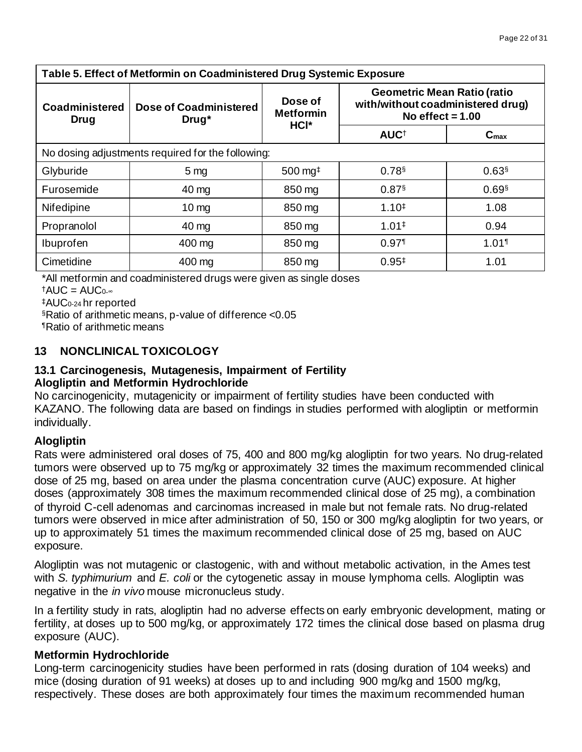| Table 5. Effect of Metformin on Coadministered Drug Systemic Exposure |                                        |                                           |                                                                                               |                     |  |  |  |
|-----------------------------------------------------------------------|----------------------------------------|-------------------------------------------|-----------------------------------------------------------------------------------------------|---------------------|--|--|--|
| <b>Coadministered</b><br><b>Drug</b>                                  | <b>Dose of Coadministered</b><br>Drug* | Dose of<br><b>Metformin</b><br>HCI*       | <b>Geometric Mean Ratio (ratio</b><br>with/without coadministered drug)<br>No effect $= 1.00$ |                     |  |  |  |
|                                                                       |                                        |                                           | AUC <sup>+</sup>                                                                              | $C_{\text{max}}$    |  |  |  |
| No dosing adjustments required for the following:                     |                                        |                                           |                                                                                               |                     |  |  |  |
| Glyburide                                                             | 5 <sub>mg</sub>                        | $500$ mg <sup><math>\ddagger</math></sup> | 0.78§                                                                                         | 0.63                |  |  |  |
| Furosemide                                                            | 40 mg                                  | 850 mg                                    | $0.87$ <sup>§</sup>                                                                           | $0.69$ <sup>§</sup> |  |  |  |
| Nifedipine                                                            | $10 \,\mathrm{mg}$                     | 850 mg                                    | $1.10^{+}$                                                                                    | 1.08                |  |  |  |
| Propranolol                                                           | 40 mg                                  | 850 mg                                    | 1.01 <sup>‡</sup>                                                                             | 0.94                |  |  |  |
| Ibuprofen                                                             | 400 mg                                 | 850 mg                                    | $0.97$ <sup>1</sup>                                                                           | $1.01$ <sup>1</sup> |  |  |  |
| Cimetidine                                                            | 400 mg                                 | 850 mg                                    | $0.95^{\ddagger}$                                                                             | 1.01                |  |  |  |

\*All metformin and coadministered drugs were given as single doses

†AUC =  $AUC_0$ .∞

‡AUC0-24 hr reported

§Ratio of arithmetic means, p-value of difference <0.05

¶Ratio of arithmetic means

## **13 NONCLINICAL TOXICOLOGY**

#### **13.1 Carcinogenesis, Mutagenesis, Impairment of Fertility Alogliptin and Metformin Hydrochloride**

No carcinogenicity, mutagenicity or impairment of fertility studies have been conducted with KAZANO. The following data are based on findings in studies performed with alogliptin or metformin individually.

## **Alogliptin**

Rats were administered oral doses of 75, 400 and 800 mg/kg alogliptin for two years. No drug-related tumors were observed up to 75 mg/kg or approximately 32 times the maximum recommended clinical dose of 25 mg, based on area under the plasma concentration curve (AUC) exposure. At higher doses (approximately 308 times the maximum recommended clinical dose of 25 mg), a combination of thyroid C-cell adenomas and carcinomas increased in male but not female rats. No drug-related tumors were observed in mice after administration of 50, 150 or 300 mg/kg alogliptin for two years, or up to approximately 51 times the maximum recommended clinical dose of 25 mg, based on AUC exposure.

Alogliptin was not mutagenic or clastogenic, with and without metabolic activation, in the Ames test with *S. typhimurium* and *E. coli* or the cytogenetic assay in mouse lymphoma cells. Alogliptin was negative in the *in vivo* mouse micronucleus study.

In a fertility study in rats, alogliptin had no adverse effects on early embryonic development, mating or fertility, at doses up to 500 mg/kg, or approximately 172 times the clinical dose based on plasma drug exposure (AUC).

#### **Metformin Hydrochloride**

Long-term carcinogenicity studies have been performed in rats (dosing duration of 104 weeks) and mice (dosing duration of 91 weeks) at doses up to and including 900 mg/kg and 1500 mg/kg, respectively. These doses are both approximately four times the maximum recommended human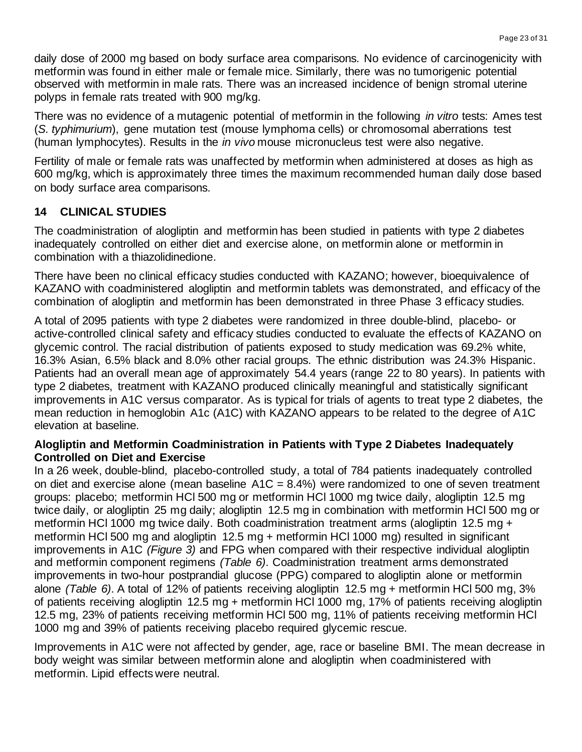daily dose of 2000 mg based on body surface area comparisons. No evidence of carcinogenicity with metformin was found in either male or female mice. Similarly, there was no tumorigenic potential observed with metformin in male rats. There was an increased incidence of benign stromal uterine polyps in female rats treated with 900 mg/kg.

There was no evidence of a mutagenic potential of metformin in the following *in vitro* tests: Ames test (*S. typhimurium*), gene mutation test (mouse lymphoma cells) or chromosomal aberrations test (human lymphocytes). Results in the *in vivo* mouse micronucleus test were also negative.

Fertility of male or female rats was unaffected by metformin when administered at doses as high as 600 mg/kg, which is approximately three times the maximum recommended human daily dose based on body surface area comparisons.

## **14 CLINICAL STUDIES**

The coadministration of alogliptin and metformin has been studied in patients with type 2 diabetes inadequately controlled on either diet and exercise alone, on metformin alone or metformin in combination with a thiazolidinedione.

There have been no clinical efficacy studies conducted with KAZANO; however, bioequivalence of KAZANO with coadministered alogliptin and metformin tablets was demonstrated, and efficacy of the combination of alogliptin and metformin has been demonstrated in three Phase 3 efficacy studies.

A total of 2095 patients with type 2 diabetes were randomized in three double-blind, placebo- or active-controlled clinical safety and efficacy studies conducted to evaluate the effects of KAZANO on glycemic control. The racial distribution of patients exposed to study medication was 69.2% white, 16.3% Asian, 6.5% black and 8.0% other racial groups. The ethnic distribution was 24.3% Hispanic. Patients had an overall mean age of approximately 54.4 years (range 22 to 80 years). In patients with type 2 diabetes, treatment with KAZANO produced clinically meaningful and statistically significant improvements in A1C versus comparator. As is typical for trials of agents to treat type 2 diabetes, the mean reduction in hemoglobin A1c (A1C) with KAZANO appears to be related to the degree of A1C elevation at baseline.

#### **Alogliptin and Metformin Coadministration in Patients with Type 2 Diabetes Inadequately Controlled on Diet and Exercise**

In a 26 week, double-blind, placebo-controlled study, a total of 784 patients inadequately controlled on diet and exercise alone (mean baseline  $A1C = 8.4\%$ ) were randomized to one of seven treatment groups: placebo; metformin HCl 500 mg or metformin HCl 1000 mg twice daily, alogliptin 12.5 mg twice daily, or alogliptin 25 mg daily; alogliptin 12.5 mg in combination with metformin HCl 500 mg or metformin HCl 1000 mg twice daily. Both coadministration treatment arms (alogliptin 12.5 mg + metformin HCl 500 mg and alogliptin 12.5 mg + metformin HCl 1000 mg) resulted in significant improvements in A1C *(Figure 3)* and FPG when compared with their respective individual alogliptin and metformin component regimens *(Table 6)*. Coadministration treatment arms demonstrated improvements in two-hour postprandial glucose (PPG) compared to alogliptin alone or metformin alone *(Table 6)*. A total of 12% of patients receiving alogliptin 12.5 mg + metformin HCl 500 mg, 3% of patients receiving alogliptin 12.5 mg + metformin HCl 1000 mg, 17% of patients receiving alogliptin 12.5 mg, 23% of patients receiving metformin HCl 500 mg, 11% of patients receiving metformin HCl 1000 mg and 39% of patients receiving placebo required glycemic rescue.

Improvements in A1C were not affected by gender, age, race or baseline BMI. The mean decrease in body weight was similar between metformin alone and alogliptin when coadministered with metformin. Lipid effects were neutral.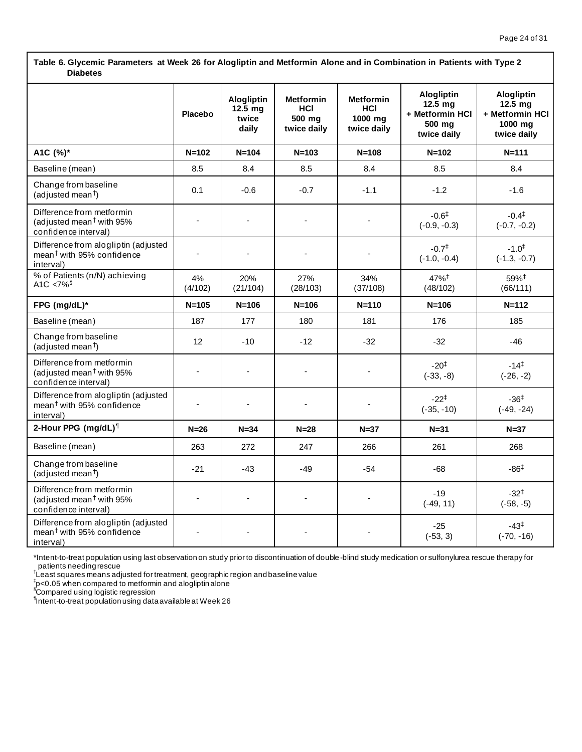**Table 6. Glycemic Parameters at Week 26 for Alogliptin and Metformin Alone and in Combination in Patients with Type 2 Diabetes**

|                                                                                             | Placebo                  | Alogliptin<br>$12.5 \text{ mg}$<br>twice<br>daily | <b>Metformin</b><br>HCI<br>500 mg<br>twice daily | <b>Metformin</b><br>HCI<br>1000 ma<br>twice daily | Alogliptin<br>$12.5$ mg<br>+ Metformin HCI<br>500 mg<br>twice daily | <b>Alogliptin</b><br>$12.5$ mg<br>+ Metformin HCI<br>1000 mg<br>twice daily |
|---------------------------------------------------------------------------------------------|--------------------------|---------------------------------------------------|--------------------------------------------------|---------------------------------------------------|---------------------------------------------------------------------|-----------------------------------------------------------------------------|
| A1C (%)*                                                                                    | $N = 102$                | $N = 104$                                         | $N = 103$                                        | $N = 108$                                         | $N = 102$                                                           | $N = 111$                                                                   |
| Baseline (mean)                                                                             | 8.5                      | 8.4                                               | 8.5                                              | 8.4                                               | 8.5                                                                 | 8.4                                                                         |
| Change from baseline<br>(adjusted mean <sup>†</sup> )                                       | 0.1                      | $-0.6$                                            | $-0.7$                                           | $-1.1$                                            | $-1.2$                                                              | $-1.6$                                                                      |
| Difference from metformin<br>(adjusted mean <sup>†</sup> with $95%$<br>confidence interval) |                          |                                                   |                                                  |                                                   | $-0.6^{\ddagger}$<br>$(-0.9, -0.3)$                                 | $-0.4^{\ddagger}$<br>$(-0.7, -0.2)$                                         |
| Difference from alogliptin (adjusted<br>mean <sup>†</sup> with 95% confidence<br>interval)  | $\overline{\phantom{a}}$ |                                                   |                                                  |                                                   | $-0.7^{\ddagger}$<br>$(-1.0, -0.4)$                                 | $-1.0^{+}$<br>$(-1.3, -0.7)$                                                |
| % of Patients (n/N) achieving<br>A <sub>1</sub> C < $7\%$ <sup>§</sup>                      | 4%<br>(4/102)            | 20%<br>(21/104)                                   | 27%<br>(28/103)                                  | 34%<br>(37/108)                                   | 47%‡<br>(48/102)                                                    | 59%‡<br>(66/111)                                                            |
| FPG (mg/dL)*                                                                                | $N = 105$                | $N = 106$                                         | $N = 106$                                        | $N = 110$                                         | $N = 106$                                                           | $N = 112$                                                                   |
| Baseline (mean)                                                                             | 187                      | 177                                               | 180                                              | 181                                               | 176                                                                 | 185                                                                         |
| Change from baseline<br>(adjusted mean <sup>†</sup> )                                       | 12                       | $-10$                                             | $-12$                                            | $-32$                                             | $-32$                                                               | $-46$                                                                       |
| Difference from metformin<br>(adjusted mean <sup>†</sup> with 95%<br>confidence interval)   |                          |                                                   |                                                  |                                                   | $-20^{+}$<br>$(-33, -8)$                                            | $-14^{\ddagger}$<br>$(-26, -2)$                                             |
| Difference from alogliptin (adjusted<br>mean <sup>†</sup> with 95% confidence<br>interval)  |                          |                                                   |                                                  |                                                   | $-22^{\ddagger}$<br>$(-35, -10)$                                    | $-36^{\ddagger}$<br>$(-49, -24)$                                            |
| 2-Hour PPG (mg/dL) <sup>1</sup>                                                             | $N=26$                   | $N = 34$                                          | $N=28$                                           | $N=37$                                            | $N = 31$                                                            | $N=37$                                                                      |
| Baseline (mean)                                                                             | 263                      | 272                                               | 247                                              | 266                                               | 261                                                                 | 268                                                                         |
| Change from baseline<br>(adjusted mean <sup>†</sup> )                                       | $-21$                    | $-43$                                             | $-49$                                            | $-54$                                             | $-68$                                                               | $-86‡$                                                                      |
| Difference from metformin<br>(adjusted mean <sup>†</sup> with 95%<br>confidence interval)   |                          |                                                   |                                                  |                                                   | $-19$<br>$(-49, 11)$                                                | $-32^{+}$<br>$(-58, -5)$                                                    |
| Difference from alogliptin (adjusted<br>mean <sup>†</sup> with 95% confidence<br>interval)  |                          |                                                   |                                                  |                                                   | $-25$<br>$(-53, 3)$                                                 | $-43^{\ddagger}$<br>$(-70, -16)$                                            |

\*Intent-to-treat population using last observation on study prior to discontinuation of double-blind study medication or sulfonylurea rescue therapy for

patients needing rescue † Least squares means adjusted for treatment, geographic region and baseline value

‡ p<0.05 when compared to metformin and alogliptin alone §Compared using logistic regression

¶ Intent-to-treat population using data available at Week 26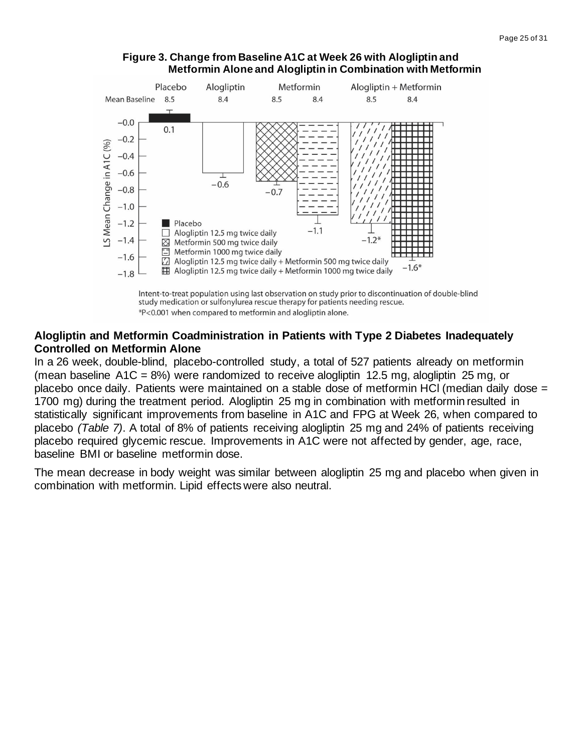

#### **Figure 3. Change from Baseline A1C at Week 26 with Alogliptin and Metformin Alone and Alogliptin in Combination with Metformin**



#### **Alogliptin and Metformin Coadministration in Patients with Type 2 Diabetes Inadequately Controlled on Metformin Alone**

In a 26 week, double-blind, placebo-controlled study, a total of 527 patients already on metformin (mean baseline  $A1C = 8\%)$  were randomized to receive alogliptin 12.5 mg, alogliptin 25 mg, or placebo once daily. Patients were maintained on a stable dose of metformin HCl (median daily dose = 1700 mg) during the treatment period. Alogliptin 25 mg in combination with metformin resulted in statistically significant improvements from baseline in A1C and FPG at Week 26, when compared to placebo *(Table 7)*. A total of 8% of patients receiving alogliptin 25 mg and 24% of patients receiving placebo required glycemic rescue. Improvements in A1C were not affected by gender, age, race, baseline BMI or baseline metformin dose.

The mean decrease in body weight was similar between alogliptin 25 mg and placebo when given in combination with metformin. Lipid effects were also neutral.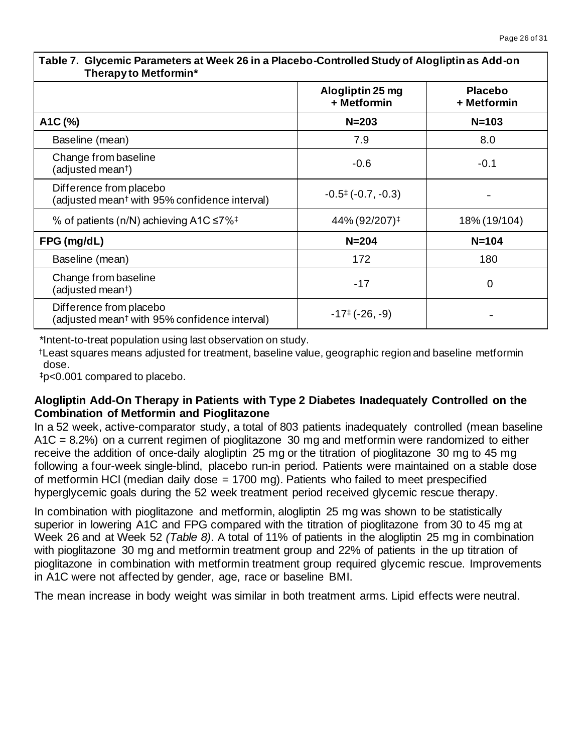| Table T. Officinity Parameters at Heen Zo in a Placebo Controlled Glady of Alegingth as Add On<br>Therapy to Metformin* |                                    |                               |  |  |  |
|-------------------------------------------------------------------------------------------------------------------------|------------------------------------|-------------------------------|--|--|--|
|                                                                                                                         | Alogliptin 25 mg<br>+ Metformin    | <b>Placebo</b><br>+ Metformin |  |  |  |
| A1C (%)                                                                                                                 | $N = 203$                          | $N = 103$                     |  |  |  |
| Baseline (mean)                                                                                                         | 7.9                                | 8.0                           |  |  |  |
| Change from baseline<br>(adjusted mean <sup>†</sup> )                                                                   | $-0.6$                             | $-0.1$                        |  |  |  |
| Difference from placebo<br>(adjusted mean <sup>†</sup> with 95% confidence interval)                                    | $-0.5$ <sup>‡</sup> $(-0.7, -0.3)$ |                               |  |  |  |
| % of patients (n/N) achieving A1C $\leq 7\%$ <sup>‡</sup>                                                               | 44% (92/207) <sup>‡</sup>          | 18% (19/104)                  |  |  |  |
| FPG (mg/dL)                                                                                                             | $N = 204$                          | $N = 104$                     |  |  |  |
| Baseline (mean)                                                                                                         | 172                                | 180                           |  |  |  |
| Change from baseline<br>(adjusted mean <sup>†</sup> )                                                                   | $-17$                              | $\mathbf 0$                   |  |  |  |
| Difference from placebo<br>(adjusted mean <sup>†</sup> with 95% confidence interval)                                    | $-17^{\ddagger}$ (-26, -9)         |                               |  |  |  |

**Table 7. Glycemic Parameters at Week 26 in a Placebo-Controlled Study of Alogliptin as Add-on** 

\*Intent-to-treat population using last observation on study.

†Least squares means adjusted for treatment, baseline value, geographic region and baseline metformin dose.

‡p<0.001 compared to placebo.

## **Alogliptin Add-On Therapy in Patients with Type 2 Diabetes Inadequately Controlled on the Combination of Metformin and Pioglitazone**

In a 52 week, active-comparator study, a total of 803 patients inadequately controlled (mean baseline A1C = 8.2%) on a current regimen of pioglitazone 30 mg and metformin were randomized to either receive the addition of once-daily alogliptin 25 mg or the titration of pioglitazone 30 mg to 45 mg following a four-week single-blind, placebo run-in period. Patients were maintained on a stable dose of metformin HCl (median daily dose = 1700 mg). Patients who failed to meet prespecified hyperglycemic goals during the 52 week treatment period received glycemic rescue therapy.

In combination with pioglitazone and metformin, alogliptin 25 mg was shown to be statistically superior in lowering A1C and FPG compared with the titration of pioglitazone from 30 to 45 mg at Week 26 and at Week 52 *(Table 8)*. A total of 11% of patients in the alogliptin 25 mg in combination with pioglitazone 30 mg and metformin treatment group and 22% of patients in the up titration of pioglitazone in combination with metformin treatment group required glycemic rescue. Improvements in A1C were not affected by gender, age, race or baseline BMI.

The mean increase in body weight was similar in both treatment arms. Lipid effects were neutral.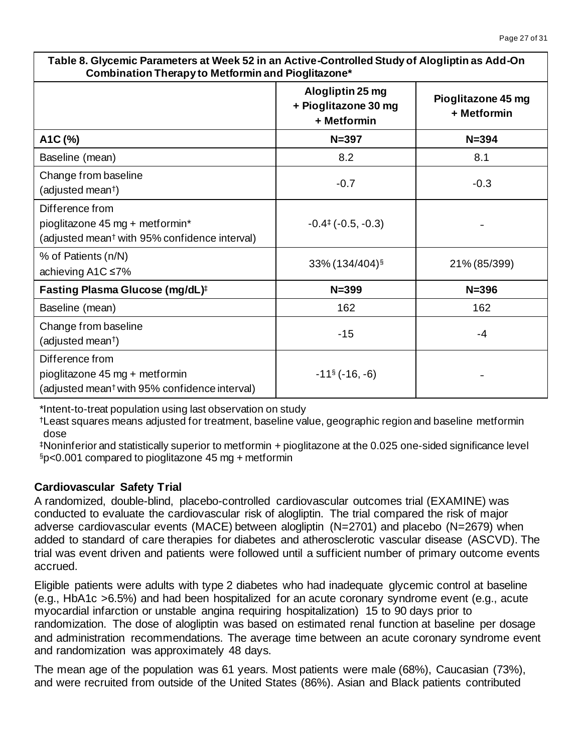| Table 8. Glycemic Parameters at Week 52 in an Active-Controlled Study of Alogliptin as Add-On<br>Combination Therapy to Metformin and Pioglitazone* |                                                         |                                   |  |  |  |
|-----------------------------------------------------------------------------------------------------------------------------------------------------|---------------------------------------------------------|-----------------------------------|--|--|--|
|                                                                                                                                                     | Alogliptin 25 mg<br>+ Pioglitazone 30 mg<br>+ Metformin | Pioglitazone 45 mg<br>+ Metformin |  |  |  |
| A1C (%)                                                                                                                                             | $N = 397$                                               | $N = 394$                         |  |  |  |
| Baseline (mean)                                                                                                                                     | 8.2                                                     | 8.1                               |  |  |  |
| Change from baseline<br>(adjusted mean <sup>†</sup> )                                                                                               | $-0.7$                                                  | $-0.3$                            |  |  |  |
| Difference from<br>pioglitazone 45 mg + metformin*<br>(adjusted mean <sup>†</sup> with 95% confidence interval)                                     | $-0.4$ <sup><math>\pm</math></sup> ( $-0.5, -0.3$ )     |                                   |  |  |  |
| % of Patients (n/N)<br>achieving A1C ≤7%                                                                                                            | 33% (134/404)§                                          | 21% (85/399)                      |  |  |  |
| Fasting Plasma Glucose (mg/dL) <sup>#</sup>                                                                                                         | $N = 399$                                               | $N = 396$                         |  |  |  |
| Baseline (mean)                                                                                                                                     | 162                                                     | 162                               |  |  |  |
| Change from baseline<br>(adjusted mean†)                                                                                                            | $-15$                                                   | -4                                |  |  |  |
| Difference from<br>pioglitazone 45 mg + metformin<br>(adjusted mean <sup>†</sup> with 95% confidence interval)                                      | $-11$ <sup>§</sup> ( $-16, -6$ )                        |                                   |  |  |  |

**Table 8. Glycemic Parameters at Week 52 in an Active-Controlled Study of Alogliptin as Add-On** 

\*Intent-to-treat population using last observation on study

†Least squares means adjusted for treatment, baseline value, geographic region and baseline metformin dose

‡Noninferior and statistically superior to metformin + pioglitazone at the 0.025 one-sided significance level §p<0.001 compared to pioglitazone 45 mg + metformin

# **Cardiovascular Safety Trial**

A randomized, double-blind, placebo-controlled cardiovascular outcomes trial (EXAMINE) was conducted to evaluate the cardiovascular risk of alogliptin. The trial compared the risk of major adverse cardiovascular events (MACE) between alogliptin (N=2701) and placebo (N=2679) when added to standard of care therapies for diabetes and atherosclerotic vascular disease (ASCVD). The trial was event driven and patients were followed until a sufficient number of primary outcome events accrued.

Eligible patients were adults with type 2 diabetes who had inadequate glycemic control at baseline (e.g., HbA1c >6.5%) and had been hospitalized for an acute coronary syndrome event (e.g., acute myocardial infarction or unstable angina requiring hospitalization) 15 to 90 days prior to randomization. The dose of alogliptin was based on estimated renal function at baseline per dosage and administration recommendations. The average time between an acute coronary syndrome event and randomization was approximately 48 days.

The mean age of the population was 61 years. Most patients were male (68%), Caucasian (73%), and were recruited from outside of the United States (86%). Asian and Black patients contributed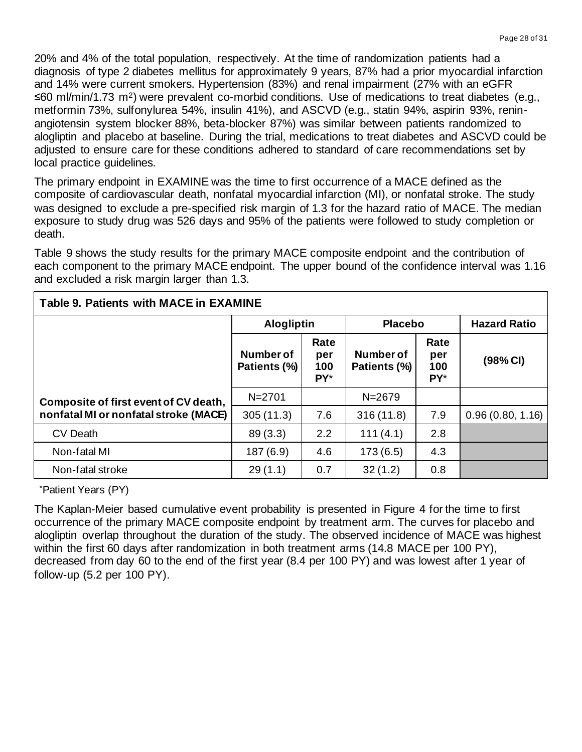20% and 4% of the total population, respectively. At the time of randomization patients had a diagnosis of type 2 diabetes mellitus for approximately 9 years, 87% had a prior myocardial infarction and 14% were current smokers. Hypertension (83%) and renal impairment (27% with an eGFR ≤60 ml/min/1.73 m2) were prevalent co-morbid conditions. Use of medications to treat diabetes (e.g., metformin 73%, sulfonylurea 54%, insulin 41%), and ASCVD (e.g., statin 94%, aspirin 93%, reninangiotensin system blocker 88%, beta-blocker 87%) was similar between patients randomized to alogliptin and placebo at baseline. During the trial, medications to treat diabetes and ASCVD could be adjusted to ensure care for these conditions adhered to standard of care recommendations set by local practice guidelines.

The primary endpoint in EXAMINE was the time to first occurrence of a MACE defined as the composite of cardiovascular death, nonfatal myocardial infarction (MI), or nonfatal stroke. The study was designed to exclude a pre-specified risk margin of 1.3 for the hazard ratio of MACE. The median exposure to study drug was 526 days and 95% of the patients were followed to study completion or death.

Table 9 shows the study results for the primary MACE composite endpoint and the contribution of each component to the primary MACE endpoint. The upper bound of the confidence interval was 1.16 and excluded a risk margin larger than 1.3.

| <b>Table 9. Patients with MACE in EXAMINE</b> |                           |                           |                                  |                           |                     |  |  |  |
|-----------------------------------------------|---------------------------|---------------------------|----------------------------------|---------------------------|---------------------|--|--|--|
|                                               | <b>Alogliptin</b>         |                           | <b>Placebo</b>                   |                           | <b>Hazard Ratio</b> |  |  |  |
|                                               | Number of<br>Patients (%) | Rate<br>per<br>100<br>PY* | <b>Number of</b><br>Patients (%) | Rate<br>per<br>100<br>PY* | (98% CI)            |  |  |  |
| Composite of first event of CV death,         | $N = 2701$                |                           | $N = 2679$                       |                           |                     |  |  |  |
| nonfatal MI or nonfatal stroke (MACE)         | 305(11.3)                 | 7.6                       | 316(11.8)                        | 7.9                       | 0.96(0.80, 1.16)    |  |  |  |
| <b>CV Death</b>                               | 89(3.3)                   | 2.2                       | 111(4.1)                         | 2.8                       |                     |  |  |  |
| Non-fatal MI                                  | 187(6.9)                  | 4.6                       | 173(6.5)                         | 4.3                       |                     |  |  |  |
| Non-fatal stroke                              | 29(1.1)                   | 0.7                       | 32(1.2)                          | 0.8                       |                     |  |  |  |

\*Patient Years (PY)

The Kaplan-Meier based cumulative event probability is presented in Figure 4 for the time to first occurrence of the primary MACE composite endpoint by treatment arm. The curves for placebo and alogliptin overlap throughout the duration of the study. The observed incidence of MACE was highest within the first 60 days after randomization in both treatment arms (14.8 MACE per 100 PY), decreased from day 60 to the end of the first year (8.4 per 100 PY) and was lowest after 1 year of follow-up (5.2 per 100 PY).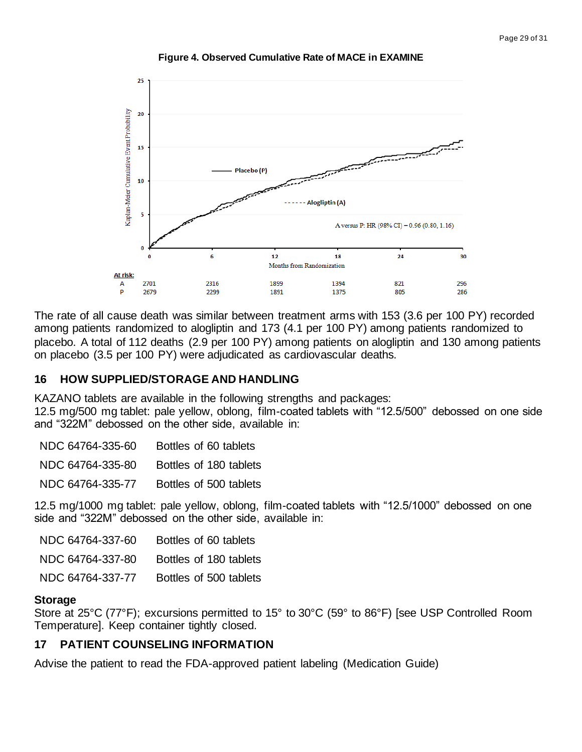

**Figure 4. Observed Cumulative Rate of MACE in EXAMINE**

The rate of all cause death was similar between treatment arms with 153 (3.6 per 100 PY) recorded among patients randomized to alogliptin and 173 (4.1 per 100 PY) among patients randomized to placebo. A total of 112 deaths (2.9 per 100 PY) among patients on alogliptin and 130 among patients on placebo (3.5 per 100 PY) were adjudicated as cardiovascular deaths.

#### **16 HOW SUPPLIED/STORAGE AND HANDLING**

KAZANO tablets are available in the following strengths and packages:

12.5 mg/500 mg tablet: pale yellow, oblong, film-coated tablets with "12.5/500" debossed on one side and "322M" debossed on the other side, available in:

NDC 64764-335-80 Bottles of 180 tablets

NDC 64764-335-77 Bottles of 500 tablets

12.5 mg/1000 mg tablet: pale yellow, oblong, film-coated tablets with "12.5/1000" debossed on one side and "322M" debossed on the other side, available in:

| NDC 64764-337-60 | Bottles of 60 tablets  |
|------------------|------------------------|
| NDC 64764-337-80 | Bottles of 180 tablets |
| NDC 64764-337-77 | Bottles of 500 tablets |

#### **Storage**

Store at 25°C (77°F); excursions permitted to 15° to 30°C (59° to 86°F) [see USP Controlled Room Temperature]. Keep container tightly closed.

## **17 PATIENT COUNSELING INFORMATION**

Advise the patient to read the FDA-approved patient labeling (Medication Guide)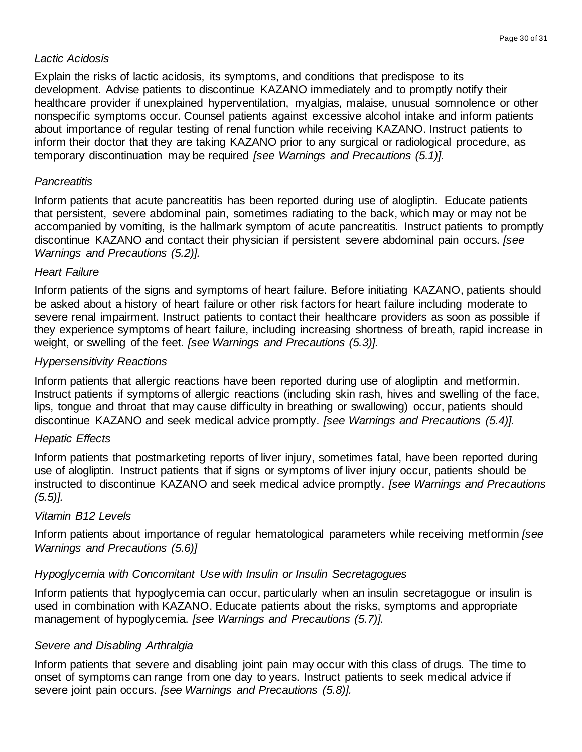## *Lactic Acidosis*

Explain the risks of lactic acidosis, its symptoms, and conditions that predispose to its development. Advise patients to discontinue KAZANO immediately and to promptly notify their healthcare provider if unexplained hyperventilation, myalgias, malaise, unusual somnolence or other nonspecific symptoms occur. Counsel patients against excessive alcohol intake and inform patients about importance of regular testing of renal function while receiving KAZANO. Instruct patients to inform their doctor that they are taking KAZANO prior to any surgical or radiological procedure, as temporary discontinuation may be required *[see Warnings and Precautions (5.1)].*

## *Pancreatitis*

Inform patients that acute pancreatitis has been reported during use of alogliptin. Educate patients that persistent, severe abdominal pain, sometimes radiating to the back, which may or may not be accompanied by vomiting, is the hallmark symptom of acute pancreatitis. Instruct patients to promptly discontinue KAZANO and contact their physician if persistent severe abdominal pain occurs. *[see Warnings and Precautions (5.2)].*

## *Heart Failure*

Inform patients of the signs and symptoms of heart failure. Before initiating KAZANO, patients should be asked about a history of heart failure or other risk factors for heart failure including moderate to severe renal impairment. Instruct patients to contact their healthcare providers as soon as possible if they experience symptoms of heart failure, including increasing shortness of breath, rapid increase in weight, or swelling of the feet. *[see Warnings and Precautions (5.3)].*

## *Hypersensitivity Reactions*

Inform patients that allergic reactions have been reported during use of alogliptin and metformin. Instruct patients if symptoms of allergic reactions (including skin rash, hives and swelling of the face, lips, tongue and throat that may cause difficulty in breathing or swallowing) occur, patients should discontinue KAZANO and seek medical advice promptly. *[see Warnings and Precautions (5.4)].*

#### *Hepatic Effects*

Inform patients that postmarketing reports of liver injury, sometimes fatal, have been reported during use of alogliptin. Instruct patients that if signs or symptoms of liver injury occur, patients should be instructed to discontinue KAZANO and seek medical advice promptly. *[see Warnings and Precautions (5.5)].*

#### *Vitamin B12 Levels*

Inform patients about importance of regular hematological parameters while receiving metformin *[see Warnings and Precautions (5.6)]*

## *Hypoglycemia with Concomitant Use with Insulin or Insulin Secretagogues*

Inform patients that hypoglycemia can occur, particularly when an insulin secretagogue or insulin is used in combination with KAZANO. Educate patients about the risks, symptoms and appropriate management of hypoglycemia. *[see Warnings and Precautions (5.7)].*

#### *Severe and Disabling Arthralgia*

Inform patients that severe and disabling joint pain may occur with this class of drugs. The time to onset of symptoms can range from one day to years. Instruct patients to seek medical advice if severe joint pain occurs. *[see Warnings and Precautions (5.8)].*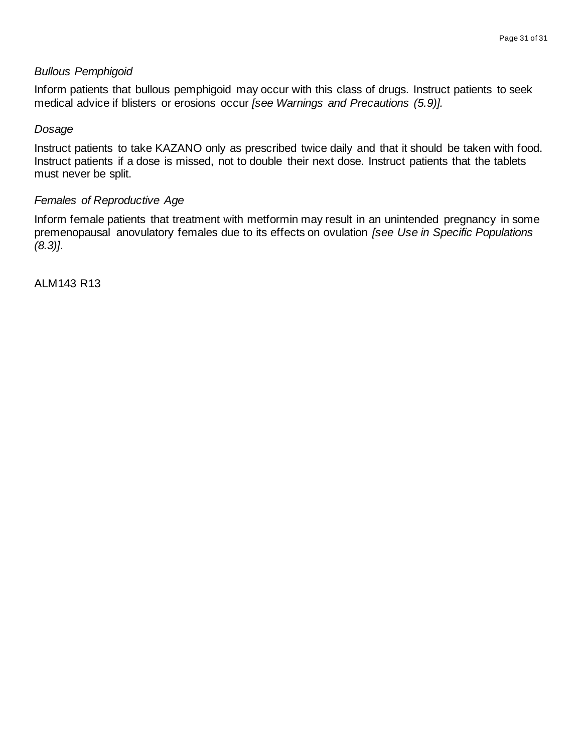#### *Bullous Pemphigoid*

Inform patients that bullous pemphigoid may occur with this class of drugs. Instruct patients to seek medical advice if blisters or erosions occur *[see Warnings and Precautions (5.9)].*

#### *Dosage*

Instruct patients to take KAZANO only as prescribed twice daily and that it should be taken with food. Instruct patients if a dose is missed, not to double their next dose. Instruct patients that the tablets must never be split.

#### *Females of Reproductive Age*

Inform female patients that treatment with metformin may result in an unintended pregnancy in some premenopausal anovulatory females due to its effects on ovulation *[see Use in Specific Populations (8.3)]*.

ALM143 R13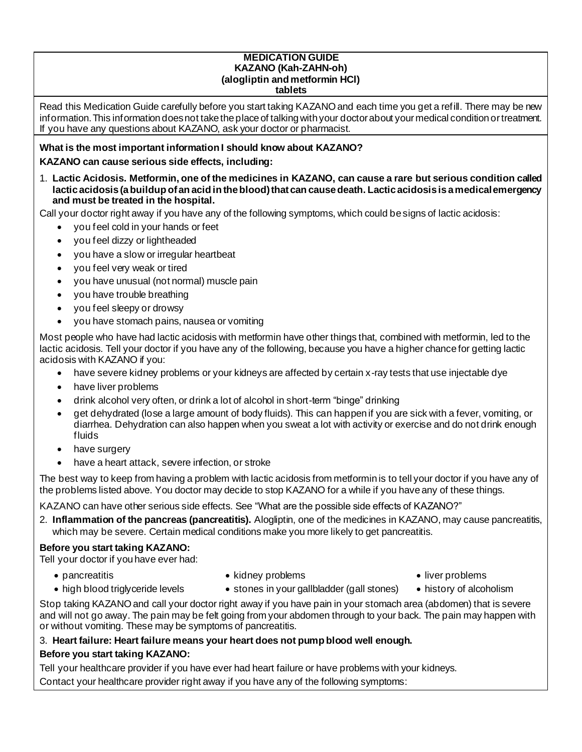#### **MEDICATION GUIDE KAZANO (Kah-ZAHN-oh) (alogliptin and metformin HCl) tablets**

Read this Medication Guide carefully before you start taking KAZANO and each time you get a refill. There may be new information. This information does not take the place of talking with your doctor about your medical condition or treatment. If you have any questions about KAZANO, ask your doctor or pharmacist.

#### **What is the most important information I should know about KAZANO?**

#### **KAZANO can cause serious side effects, including:**

1. **Lactic Acidosis. Metformin, one of the medicines in KAZANO, can cause a rare but serious condition called lactic acidosis (a buildup of an acid in the blood) that can cause death. Lactic acidosis is a medical emergency and must be treated in the hospital.**

Call your doctor right away if you have any of the following symptoms, which could be signs of lactic acidosis:

- you feel cold in your hands or feet
- you feel dizzy or lightheaded
- you have a slow or irregular heartbeat
- you feel very weak or tired
- you have unusual (not normal) muscle pain
- you have trouble breathing
- you feel sleepy or drowsy
- you have stomach pains, nausea or vomiting

Most people who have had lactic acidosis with metformin have other things that, combined with metformin, led to the lactic acidosis. Tell your doctor if you have any of the following, because you have a higher chance for getting lactic acidosis with KAZANO if you:

- have severe kidney problems or your kidneys are affected by certain x-ray tests that use injectable dye
- have liver problems
- drink alcohol very often, or drink a lot of alcohol in short-term "binge" drinking
- get dehydrated (lose a large amount of body fluids). This can happen if you are sick with a fever, vomiting, or diarrhea. Dehydration can also happen when you sweat a lot with activity or exercise and do not drink enough fluids
- have surgery
- have a heart attack, severe infection, or stroke

The best way to keep from having a problem with lactic acidosis from metformin is to tell your doctor if you have any of the problems listed above. You doctor may decide to stop KAZANO for a while if you have any of these things.

KAZANO can have other serious side effects. See "What are the possible side effects of KAZANO?"

2. **Inflammation of the pancreas (pancreatitis).** Alogliptin, one of the medicines in KAZANO, may cause pancreatitis, which may be severe. Certain medical conditions make you more likely to get pancreatitis.

## **Before you start taking KAZANO:**

Tell your doctor if you have ever had:

• pancreatitis

• kidney problems

• liver problems

- high blood triglyceride levels
- stones in your gallbladder (gall stones)
- history of alcoholism
- Stop taking KAZANO and call your doctor right away if you have pain in your stomach area (abdomen) that is severe and will not go away. The pain may be felt going from your abdomen through to your back. The pain may happen with or without vomiting. These may be symptoms of pancreatitis.

## 3. **Heart failure: Heart failure means your heart does not pump blood well enough.**

## **Before you start taking KAZANO:**

Tell your healthcare provider if you have ever had heart failure or have problems with your kidneys. Contact your healthcare provider right away if you have any of the following symptoms: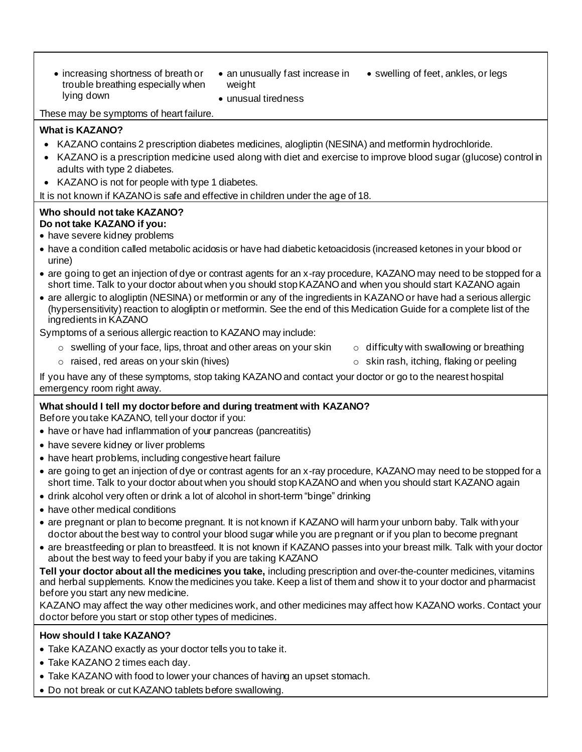- increasing shortness of breath or trouble breathing especially when lying down
- weight
- an unusually fast increase in swelling of feet, ankles, or legs

These may be symptoms of heart failure.

#### **What is KAZANO?**

• KAZANO contains 2 prescription diabetes medicines, alogliptin (NESINA) and metformin hydrochloride.

• unusual tiredness

- KAZANO is a prescription medicine used along with diet and exercise to improve blood sugar (glucose) control in adults with type 2 diabetes.
- KAZANO is not for people with type 1 diabetes.

It is not known if KAZANO is safe and effective in children under the age of 18.

#### **Who should not take KAZANO? Do not take KAZANO if you:**

- have severe kidney problems
- have a condition called metabolic acidosis or have had diabetic ketoacidosis (increased ketones in your blood or urine)
- are going to get an injection of dye or contrast agents for an x-ray procedure, KAZANO may need to be stopped for a short time. Talk to your doctor about when you should stop KAZANO and when you should start KAZANO again
- are allergic to alogliptin (NESINA) or metformin or any of the ingredients in KAZANO or have had a serious allergic (hypersensitivity) reaction to alogliptin or metformin. See the end of this Medication Guide for a complete list of the ingredients in KAZANO

Symptoms of a serious allergic reaction to KAZANO may include:

- $\circ$  swelling of your face, lips, throat and other areas on your skin  $\circ$  difficulty with swallowing or breathing
	-
- $\circ$  raised, red areas on your skin (hives)  $\circ$  skin rash, itching, flaking or peeling
- 

If you have any of these symptoms, stop taking KAZANO and contact your doctor or go to the nearest hospital emergency room right away.

## **What should I tell my doctor before and during treatment with KAZANO?**

Before you take KAZANO, tell your doctor if you:

- have or have had inflammation of your pancreas (pancreatitis)
- have severe kidney or liver problems
- have heart problems, including congestive heart failure
- are going to get an injection of dye or contrast agents for an x-ray procedure, KAZANO may need to be stopped for a short time. Talk to your doctor about when you should stop KAZANO and when you should start KAZANO again
- drink alcohol very often or drink a lot of alcohol in short-term "binge" drinking
- have other medical conditions
- are pregnant or plan to become pregnant. It is not known if KAZANO will harm your unborn baby. Talk with your doctor about the best way to control your blood sugar while you are pregnant or if you plan to become pregnant
- are breastfeeding or plan to breastfeed. It is not known if KAZANO passes into your breast milk. Talk with your doctor about the best way to feed your baby if you are taking KAZANO

**Tell your doctor about all the medicines you take,** including prescription and over-the-counter medicines, vitamins and herbal supplements. Know the medicines you take. Keep a list of them and show it to your doctor and pharmacist before you start any new medicine.

KAZANO may affect the way other medicines work, and other medicines may affect how KAZANO works. Contact your doctor before you start or stop other types of medicines.

#### **How should I take KAZANO?**

- Take KAZANO exactly as your doctor tells you to take it.
- Take KAZANO 2 times each day.
- Take KAZANO with food to lower your chances of having an upset stomach.
- Do not break or cut KAZANO tablets before swallowing.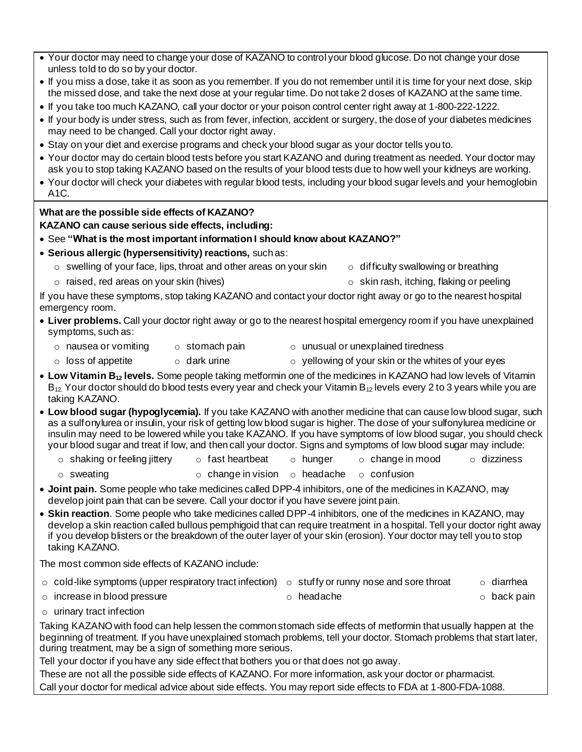- Your doctor may need to change your dose of KAZANO to control your blood glucose. Do not change your dose unless told to do so by your doctor.
- If you miss a dose, take it as soon as you remember. If you do not remember until it is time for your next dose, skip the missed dose, and take the next dose at your regular time. Do not take 2 doses of KAZANO at the same time.
- If you take too much KAZANO, call your doctor or your poison control center right away at 1-800-222-1222.
- If your body is under stress, such as from fever, infection, accident or surgery, the dose of your diabetes medicines may need to be changed. Call your doctor right away.
- Stay on your diet and exercise programs and check your blood sugar as your doctor tells you to.
- Your doctor may do certain blood tests before you start KAZANO and during treatment as needed. Your doctor may ask you to stop taking KAZANO based on the results of your blood tests due to how well your kidneys are working.
- Your doctor will check your diabetes with regular blood tests, including your blood sugar levels and your hemoglobin A1C.

#### **What are the possible side effects of KAZANO?**

#### **KAZANO can cause serious side effects, including:**

- See **"What is the most important information I should know about KAZANO?"**
- **Serious allergic (hypersensitivity) reactions,** such as:
	- $\circ$  swelling of your face, lips, throat and other areas on your skin  $\circ$  difficulty swallowing or breathing
	- $\circ$  raised, red areas on your skin (hives)  $\circ$  skin rash, itching, flaking or peeling
- -

If you have these symptoms, stop taking KAZANO and contact your doctor right away or go to the nearest hospital emergency room.

- **Liver problems.** Call your doctor right away or go to the nearest hospital emergency room if you have unexplained symptoms, such as:
	- $\circ$  nausea or vomiting  $\circ$  stomach pain  $\circ$  unusual or unexplained tiredness
		-
	- $\circ$  loss of appetite  $\circ$  dark urine  $\circ$  yellowing of your skin or the whites of your eyes
- 
- **Low Vitamin B<sup>12</sup> levels.** Some people taking metformin one of the medicines in KAZANO had low levels of Vitamin  $B_{12}$  Your doctor should do blood tests every year and check your Vitamin  $B_{12}$  levels every 2 to 3 years while you are taking KAZANO.
- **Low blood sugar (hypoglycemia).** If you take KAZANO with another medicine that can cause low blood sugar, such as a sulfonylurea or insulin, your risk of getting low blood sugar is higher. The dose of your sulfonylurea medicine or insulin may need to be lowered while you take KAZANO. If you have symptoms of low blood sugar, you should check your blood sugar and treat if low, and then call your doctor. Signs and symptoms of low blood sugar may include:
	- $\circ$  shaking or feeling jittery  $\circ$  fast heartbeat  $\circ$  hunger  $\circ$  change in mood  $\circ$  dizziness
	- o sweating o change in vision o headache o confusion
- **Joint pain.** Some people who take medicines called DPP-4 inhibitors, one of the medicines in KAZANO, may develop joint pain that can be severe. Call your doctor if you have severe joint pain.
- **Skin reaction**. Some people who take medicines called DPP-4 inhibitors, one of the medicines in KAZANO, may develop a skin reaction called bullous pemphigoid that can require treatment in a hospital. Tell your doctor right away if you develop blisters or the breakdown of the outer layer of your skin (erosion). Your doctor may tell you to stop taking KAZANO.

The most common side effects of KAZANO include:

| $\circ$ cold-like symptoms (upper respiratory tract infection) $\circ$ stuffy or runny nose and sore throat |            | ○ diarrhea  |
|-------------------------------------------------------------------------------------------------------------|------------|-------------|
| $\circ$ increase in blood pressure                                                                          | ○ headache | ○ back pain |

o urinary tract infection

Taking KAZANO with food can help lessen the common stomach side effects of metformin that usually happen at the beginning of treatment. If you have unexplained stomach problems, tell your doctor. Stomach problems that start later, during treatment, may be a sign of something more serious.

Tell your doctor if you have any side effect that bothers you or that does not go away.

These are not all the possible side effects of KAZANO. For more information, ask your doctor or pharmacist. Call your doctor for medical advice about side effects. You may report side effects to FDA at 1-800-FDA-1088.